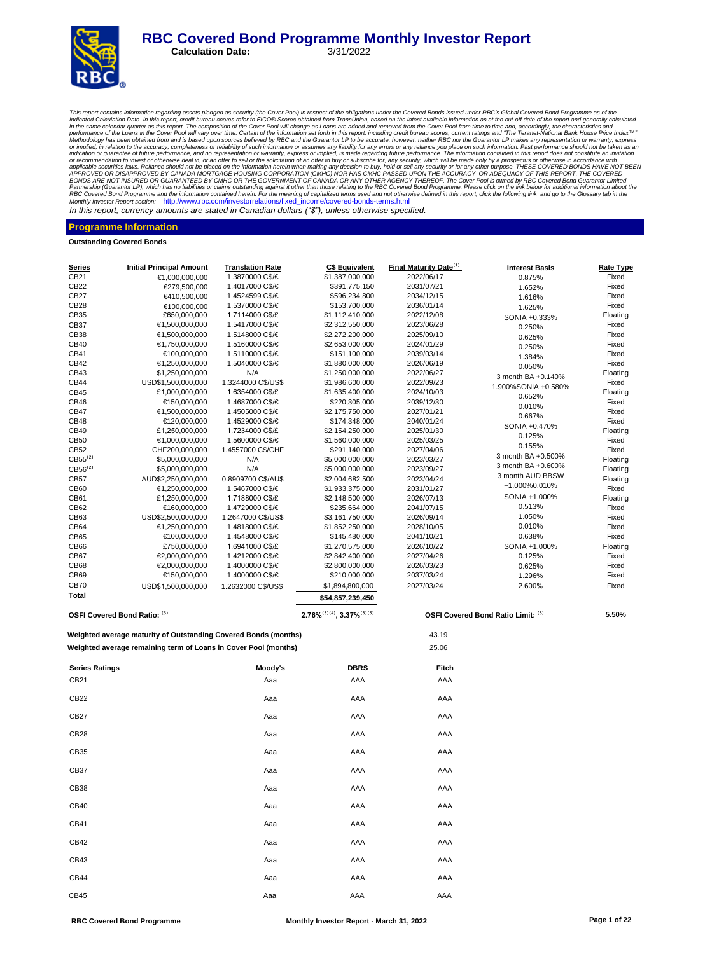# **RBC Covered Bond Programme Monthly Investor Report**<br>Calculation Date: 3/31/2022

**Calculation Date:** 

This report contains information regarding assets pledged as security (the Cover Pool) in respect of the obligations curdent the Cover Rolo information contains information as at the cut-off date of the report and generall or recommendation to invest or otherwise deal in, or an offer to sell or the solicitation of an offer to buy or subscribe for, any security, which will be made only by a prospectus or otherwise in accordance with APPROVER Monthly Investor Report section: http://www.rbc.com/investorrelations/fixed\_income/covered-bonds-terms.html

In this report, currency amounts are stated in Canadian dollars *("\$"),* unless otherwise specified.

#### **Programme Information**

**Outstanding Covered Bonds**

| <u>Series</u>                | <b>Initial Principal Amount</b>                                 | <b>Translation Rate</b>            | <b>C\$ Equivalent</b>                 | <b>Final Maturity Date</b> <sup>(1)</sup> | <b>Interest Basis</b>              | Rate Type      |
|------------------------------|-----------------------------------------------------------------|------------------------------------|---------------------------------------|-------------------------------------------|------------------------------------|----------------|
| CB21                         | €1,000,000,000                                                  | 1.3870000 C\$/€                    | \$1,387,000,000                       | 2022/06/17                                | 0.875%                             | Fixed          |
| CB22                         | €279,500,000                                                    | 1.4017000 C\$/€                    | \$391,775,150                         | 2031/07/21                                | 1.652%                             | Fixed          |
| CB27                         | €410,500,000                                                    | 1.4524599 C\$/€                    | \$596,234,800                         | 2034/12/15                                | 1.616%                             | Fixed          |
| CB28                         | €100,000,000                                                    | 1.5370000 C\$/€                    | \$153,700,000                         | 2036/01/14                                | 1.625%                             | Fixed          |
| CB35                         | £650,000,000                                                    | 1.7114000 C\$/£                    | \$1,112,410,000                       | 2022/12/08                                | SONIA +0.333%                      | Floating       |
| CB37                         | €1,500,000,000                                                  | 1.5417000 C\$/€                    | \$2,312,550,000                       | 2023/06/28                                | 0.250%                             | Fixed          |
| CB38                         | €1,500,000,000                                                  | 1.5148000 C\$/€                    | \$2,272,200,000                       | 2025/09/10                                | 0.625%                             | Fixed          |
| CB40                         | €1,750,000,000                                                  | 1.5160000 C\$/€                    | \$2,653,000,000                       | 2024/01/29                                | 0.250%                             | Fixed          |
| CB41                         | €100,000,000                                                    | 1.5110000 C\$/€                    | \$151,100,000                         | 2039/03/14                                | 1.384%                             | Fixed          |
| CB42                         | €1,250,000,000                                                  | 1.5040000 C\$/€                    | \$1,880,000,000                       | 2026/06/19                                | 0.050%                             | Fixed          |
| CB43                         | \$1,250,000,000                                                 | N/A                                | \$1,250,000,000                       | 2022/06/27                                | 3 month BA +0.140%                 | Floating       |
| CB44                         | USD\$1,500,000,000                                              | 1.3244000 C\$/US\$                 | \$1,986,600,000                       | 2022/09/23                                | 1.900%SONIA +0.580%                | Fixed          |
| CB45                         | £1,000,000,000                                                  | 1.6354000 C\$/£                    | \$1,635,400,000                       | 2024/10/03                                | 0.652%                             | Floating       |
| CB46                         | €150,000,000                                                    | 1.4687000 C\$/€                    | \$220,305,000                         | 2039/12/30                                | 0.010%                             | Fixed          |
| CB47<br>CB48                 | €1,500,000,000                                                  | 1.4505000 C\$/€<br>1.4529000 C\$/€ | \$2,175,750,000                       | 2027/01/21                                | 0.667%                             | Fixed<br>Fixed |
| CB49                         | €120,000,000<br>£1,250,000,000                                  | 1.7234000 C\$/£                    | \$174,348,000<br>\$2,154,250,000      | 2040/01/24<br>2025/01/30                  | SONIA +0.470%                      | Floating       |
| CB50                         | €1,000,000,000                                                  | 1.5600000 C\$/€                    | \$1,560,000,000                       | 2025/03/25                                | 0.125%                             | Fixed          |
| CB52                         | CHF200,000,000                                                  | 1.4557000 C\$/CHF                  | \$291,140,000                         | 2027/04/06                                | 0.155%                             | Fixed          |
| CB55 <sup>(2)</sup>          | \$5,000,000,000                                                 | N/A                                | \$5,000,000,000                       | 2023/03/27                                | 3 month BA +0.500%                 | Floating       |
| CB56 <sup>(2)</sup>          | \$5,000,000,000                                                 | N/A                                | \$5,000,000,000                       | 2023/09/27                                | 3 month BA +0.600%                 | Floating       |
| CB57                         | AUD\$2,250,000,000                                              | 0.8909700 C\$/AU\$                 | \$2,004,682,500                       | 2023/04/24                                | 3 month AUD BBSW                   | Floating       |
| CB60                         | €1,250,000,000                                                  | 1.5467000 C\$/€                    | \$1,933,375,000                       | 2031/01/27                                | +1.000%0.010%                      | Fixed          |
| CB61                         | £1,250,000,000                                                  | 1.7188000 C\$/£                    | \$2,148,500,000                       | 2026/07/13                                | SONIA +1.000%                      | Floating       |
| CB62                         | €160,000,000                                                    | 1.4729000 C\$/€                    | \$235,664,000                         | 2041/07/15                                | 0.513%                             | Fixed          |
| CB63                         | USD\$2,500,000,000                                              | 1.2647000 C\$/US\$                 | \$3,161,750,000                       | 2026/09/14                                | 1.050%                             | Fixed          |
| CB64                         | €1,250,000,000                                                  | 1.4818000 C\$/€                    | \$1,852,250,000                       | 2028/10/05                                | 0.010%                             | Fixed          |
| CB65                         | €100,000,000                                                    | 1.4548000 C\$/€                    | \$145,480,000                         | 2041/10/21                                | 0.638%                             | Fixed          |
| CB66                         | £750,000,000                                                    | 1.6941000 C\$/£                    | \$1,270,575,000                       | 2026/10/22                                | SONIA +1.000%                      | Floating       |
| CB67                         | €2,000,000,000                                                  | 1.4212000 C\$/€                    | \$2,842,400,000                       | 2027/04/26                                | 0.125%                             | Fixed          |
| CB68                         | €2,000,000,000                                                  | 1.4000000 C\$/€                    | \$2,800,000,000                       | 2026/03/23                                | 0.625%                             | Fixed          |
| CB69                         | €150,000,000                                                    | 1.4000000 C\$/€                    | \$210,000,000                         | 2037/03/24                                | 1.296%                             | Fixed          |
| CB70                         | USD\$1,500,000,000                                              | 1.2632000 C\$/US\$                 | \$1,894,800,000                       | 2027/03/24                                | 2.600%                             | Fixed          |
| Total                        |                                                                 |                                    | \$54,857,239,450                      |                                           |                                    |                |
| OSFI Covered Bond Ratio: (3) |                                                                 |                                    | $2.76\%^{(3)(4)}$ , $3.37\%^{(3)(5)}$ |                                           | OSFI Covered Bond Ratio Limit: (3) | 5.50%          |
|                              | Weighted average maturity of Outstanding Covered Bonds (months) |                                    |                                       | 43.19                                     |                                    |                |
|                              | Weighted average remaining term of Loans in Cover Pool (months) |                                    |                                       | 25.06                                     |                                    |                |
| <b>Series Ratings</b>        |                                                                 | Moody's                            | <b>DBRS</b>                           | <b>Fitch</b>                              |                                    |                |
| CB21                         |                                                                 | Aaa                                | AAA                                   | AAA                                       |                                    |                |
| CB22                         |                                                                 | Aaa                                | AAA                                   | AAA                                       |                                    |                |
| CB27                         |                                                                 | Aaa                                | AAA                                   | AAA                                       |                                    |                |
| <b>CB28</b>                  |                                                                 | Aaa                                | AAA                                   | AAA                                       |                                    |                |
| CB35                         |                                                                 | Aaa                                | AAA                                   | AAA                                       |                                    |                |
| CB37                         |                                                                 | Aaa                                | AAA                                   | AAA                                       |                                    |                |
| CB38                         |                                                                 | Aaa                                | AAA                                   | AAA                                       |                                    |                |
| CB40                         |                                                                 | Aaa                                | AAA                                   | AAA                                       |                                    |                |
| CB41                         |                                                                 | Aaa                                | AAA                                   | AAA                                       |                                    |                |
| CB42                         |                                                                 | Aaa                                | AAA                                   | AAA                                       |                                    |                |
| CB43                         |                                                                 | Aaa                                | AAA                                   | AAA                                       |                                    |                |
| CB44                         |                                                                 | Aaa                                | AAA                                   | AAA                                       |                                    |                |
| CB45                         |                                                                 | Aaa                                | AAA                                   | AAA                                       |                                    |                |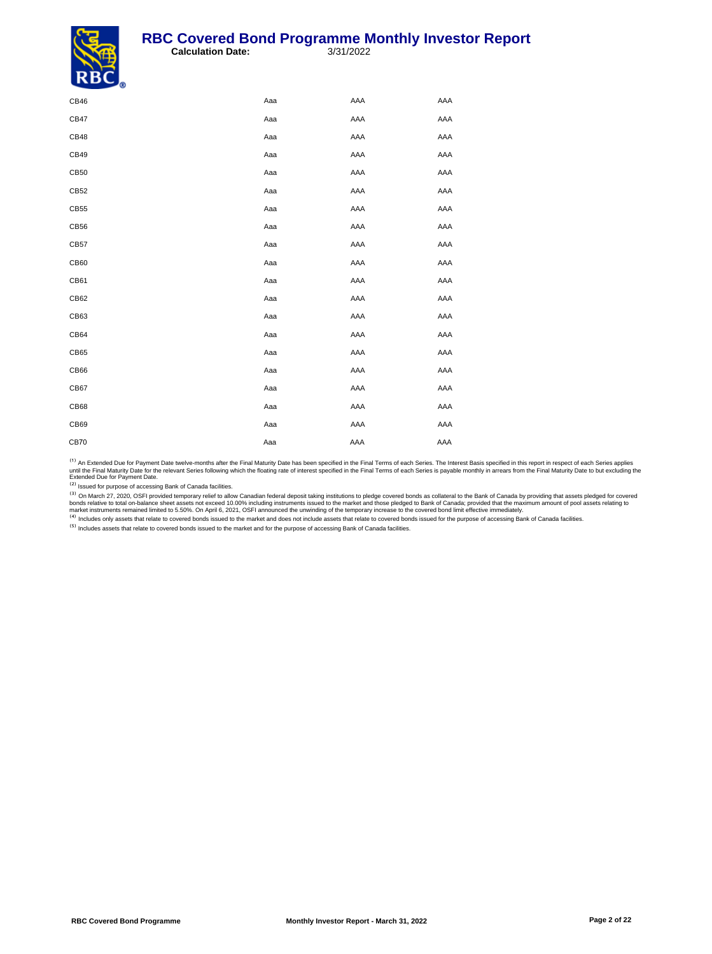

| $\overline{\phantom{a}}$ |     |     |     |
|--------------------------|-----|-----|-----|
| CB46                     | Aaa | AAA | AAA |
| CB47                     | Aaa | AAA | AAA |
| <b>CB48</b>              | Aaa | AAA | AAA |
| CB49                     | Aaa | AAA | AAA |
| CB50                     | Aaa | AAA | AAA |
| CB52                     | Aaa | AAA | AAA |
| CB55                     | Aaa | AAA | AAA |
| CB56                     | Aaa | AAA | AAA |
| CB57                     | Aaa | AAA | AAA |
| CB60                     | Aaa | AAA | AAA |
| CB61                     | Aaa | AAA | AAA |
| CB62                     | Aaa | AAA | AAA |
| CB63                     | Aaa | AAA | AAA |
| CB64                     | Aaa | AAA | AAA |
| CB65                     | Aaa | AAA | AAA |
| CB66                     | Aaa | AAA | AAA |
| CB67                     | Aaa | AAA | AAA |
| CB68                     | Aaa | AAA | AAA |
| CB69                     | Aaa | AAA | AAA |
| <b>CB70</b>              | Aaa | AAA | AAA |
|                          |     |     |     |

<sup>(1)</sup> An Extended Due for Payment Date twelve-months after the Final Maturity Date has been specified in the Final Terms of each Series. The Interest Basis specified in this report in respect of each Series applies<br>until t

<sup>(3)</sup> On March 27, 2020, OSFI provided temporary relief to allow Canadian federal deposit taking institutions to pledge covered bonds as collateral to the Bank of Canada by providing that assets pledged for covered bords r

<sup>(5)</sup> Includes assets that relate to covered bonds issued to the market and for the purpose of accessing Bank of Canada facilities.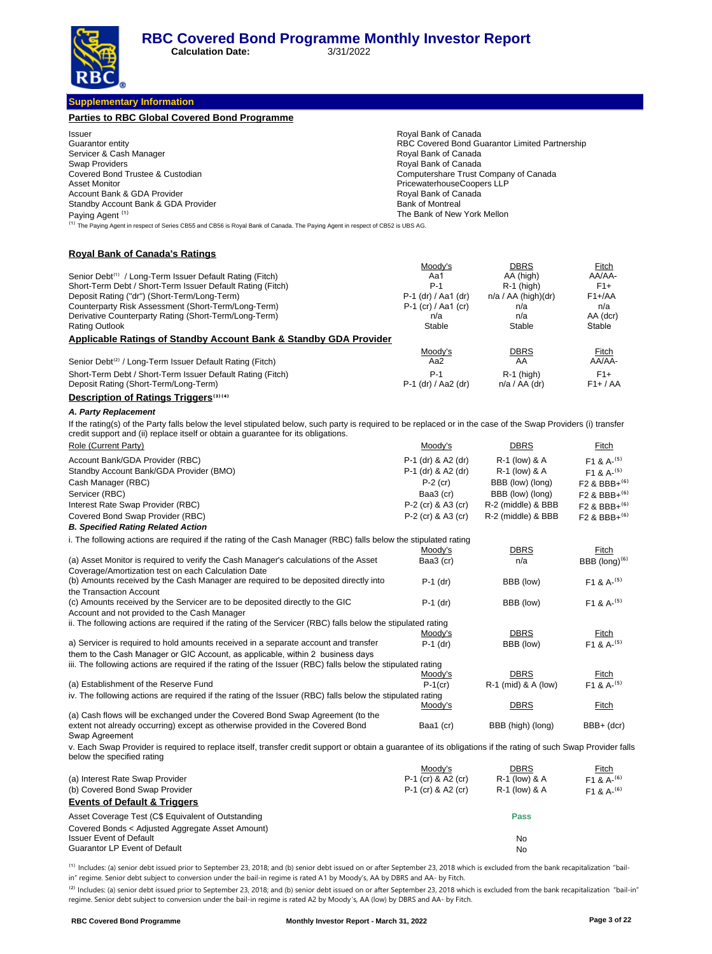**Calculation Date:** 3/31/2022

**Supplementary Information**

| <b>Parties to RBC Global Covered Bond Programme</b>                                                                                                                                           |                                                    |                                                |                                      |
|-----------------------------------------------------------------------------------------------------------------------------------------------------------------------------------------------|----------------------------------------------------|------------------------------------------------|--------------------------------------|
| Issuer                                                                                                                                                                                        | Royal Bank of Canada                               |                                                |                                      |
| Guarantor entity                                                                                                                                                                              |                                                    | RBC Covered Bond Guarantor Limited Partnership |                                      |
| Servicer & Cash Manager                                                                                                                                                                       | Royal Bank of Canada                               |                                                |                                      |
| Swap Providers                                                                                                                                                                                | Royal Bank of Canada                               |                                                |                                      |
| Covered Bond Trustee & Custodian                                                                                                                                                              | Computershare Trust Company of Canada              |                                                |                                      |
| <b>Asset Monitor</b><br>Account Bank & GDA Provider                                                                                                                                           | PricewaterhouseCoopers LLP<br>Royal Bank of Canada |                                                |                                      |
| Standby Account Bank & GDA Provider                                                                                                                                                           | <b>Bank of Montreal</b>                            |                                                |                                      |
| Paying Agent <sup>(1)</sup>                                                                                                                                                                   | The Bank of New York Mellon                        |                                                |                                      |
| <sup>(1)</sup> The Paying Agent in respect of Series CB55 and CB56 is Royal Bank of Canada. The Paying Agent in respect of CB52 is UBS AG.                                                    |                                                    |                                                |                                      |
| <b>Royal Bank of Canada's Ratings</b>                                                                                                                                                         |                                                    |                                                |                                      |
|                                                                                                                                                                                               | <u>Moody's</u>                                     | <b>DBRS</b>                                    | Fitch                                |
| Senior Debt <sup>(1)</sup> / Long-Term Issuer Default Rating (Fitch)<br>Short-Term Debt / Short-Term Issuer Default Rating (Fitch)                                                            | Aa1<br>$P-1$                                       | AA (high)<br>$R-1$ (high)                      | AA/AA-<br>$F1+$                      |
| Deposit Rating ("dr") (Short-Term/Long-Term)                                                                                                                                                  | P-1 (dr) / Aa1 (dr)                                | $n/a / AA$ (high)(dr)                          | $F1 + A$                             |
| Counterparty Risk Assessment (Short-Term/Long-Term)                                                                                                                                           | $P-1$ (cr) / Aa1 (cr)                              | n/a                                            | n/a                                  |
| Derivative Counterparty Rating (Short-Term/Long-Term)                                                                                                                                         | n/a                                                | n/a                                            | AA (dcr)                             |
| <b>Rating Outlook</b>                                                                                                                                                                         | Stable                                             | Stable                                         | Stable                               |
| <b>Applicable Ratings of Standby Account Bank &amp; Standby GDA Provider</b>                                                                                                                  |                                                    |                                                |                                      |
|                                                                                                                                                                                               | Moody's                                            | DBRS                                           | <b>Fitch</b>                         |
| Senior Debt <sup>(2)</sup> / Long-Term Issuer Default Rating (Fitch)                                                                                                                          | Aa2                                                | AA                                             | AA/AA-                               |
| Short-Term Debt / Short-Term Issuer Default Rating (Fitch)                                                                                                                                    | $P-1$                                              | $R-1$ (high)                                   | $F1+$                                |
| Deposit Rating (Short-Term/Long-Term)                                                                                                                                                         | P-1 (dr) / Aa2 (dr)                                | $n/a / AA$ (dr)                                | $F1+ / AA$                           |
| <b>Description of Ratings Triggers</b> <sup>(3)(4)</sup>                                                                                                                                      |                                                    |                                                |                                      |
| A. Party Replacement                                                                                                                                                                          |                                                    |                                                |                                      |
| If the rating(s) of the Party falls below the level stipulated below, such party is required to be replaced or in the case of the Swap Providers (i) transfer                                 |                                                    |                                                |                                      |
| credit support and (ii) replace itself or obtain a guarantee for its obligations.                                                                                                             |                                                    |                                                |                                      |
| Role (Current Party)                                                                                                                                                                          | Moody's                                            | <u>DBRS</u>                                    | <b>Fitch</b>                         |
| Account Bank/GDA Provider (RBC)                                                                                                                                                               | P-1 (dr) & A2 (dr)                                 | R-1 (low) & A                                  | F <sub>1</sub> & A- $(5)$            |
| Standby Account Bank/GDA Provider (BMO)                                                                                                                                                       | P-1 (dr) & A2 (dr)                                 | R-1 (low) & A                                  | $F1 & A-(5)$                         |
| Cash Manager (RBC)                                                                                                                                                                            | $P-2$ (cr)                                         | BBB (low) (long)                               | F <sub>2</sub> & BBB+ <sup>(6)</sup> |
| Servicer (RBC)                                                                                                                                                                                | Baa3 (cr)                                          | BBB (low) (long)                               | F <sub>2</sub> & BBB+ <sup>(6)</sup> |
| Interest Rate Swap Provider (RBC)                                                                                                                                                             | P-2 (cr) & A3 (cr)                                 | R-2 (middle) & BBB                             | $F2$ & BBB+ <sup>(6)</sup>           |
| Covered Bond Swap Provider (RBC)                                                                                                                                                              | P-2 (cr) & A3 (cr)                                 | R-2 (middle) & BBB                             | F2 & BBB+ <sup>(6)</sup>             |
| <b>B. Specified Rating Related Action</b>                                                                                                                                                     |                                                    |                                                |                                      |
| i. The following actions are required if the rating of the Cash Manager (RBC) falls below the stipulated rating                                                                               |                                                    |                                                |                                      |
|                                                                                                                                                                                               | Moody's                                            | DBRS                                           | Fitch                                |
| (a) Asset Monitor is required to verify the Cash Manager's calculations of the Asset<br>Coverage/Amortization test on each Calculation Date                                                   | Baa3 (cr)                                          | n/a                                            | BBB (long) $(6)$                     |
| (b) Amounts received by the Cash Manager are required to be deposited directly into<br>the Transaction Account                                                                                | $P-1$ (dr)                                         | BBB (low)                                      | F <sub>1</sub> & A <sup>-(5)</sup>   |
| (c) Amounts received by the Servicer are to be deposited directly to the GIC                                                                                                                  | $P-1$ (dr)                                         | BBB (low)                                      | $F1 & A-(5)$                         |
| Account and not provided to the Cash Manager                                                                                                                                                  |                                                    |                                                |                                      |
| ii. The following actions are required if the rating of the Servicer (RBC) falls below the stipulated rating                                                                                  |                                                    |                                                |                                      |
|                                                                                                                                                                                               | Moody's                                            | <b>DBRS</b>                                    | Fitch                                |
| a) Servicer is required to hold amounts received in a separate account and transfer                                                                                                           | $P-1$ (dr)                                         | BBB (low)                                      | $F1 & A-(5)$                         |
| them to the Cash Manager or GIC Account, as applicable, within 2 business days<br>iii. The following actions are required if the rating of the Issuer (RBC) falls below the stipulated rating |                                                    |                                                |                                      |
|                                                                                                                                                                                               | Moody's                                            | <b>DBRS</b>                                    | Fitch                                |
| (a) Establishment of the Reserve Fund                                                                                                                                                         | $P-1$ (cr)                                         | R-1 (mid) & A (low)                            | F1 & A- <sup>(5)</sup>               |
| iv. The following actions are required if the rating of the Issuer (RBC) falls below the stipulated rating                                                                                    |                                                    |                                                |                                      |
|                                                                                                                                                                                               | Moody's                                            | DBRS                                           | <u>Fitch</u>                         |
| (a) Cash flows will be exchanged under the Covered Bond Swap Agreement (to the<br>extent not already occurring) except as otherwise provided in the Covered Bond                              | Baa1 (cr)                                          | BBB (high) (long)                              | BBB+ (dcr)                           |
| Swap Agreement                                                                                                                                                                                |                                                    |                                                |                                      |
| v. Each Swap Provider is required to replace itself, transfer credit support or obtain a guarantee of its obligations if the rating of such Swap Provider falls<br>below the specified rating |                                                    |                                                |                                      |
|                                                                                                                                                                                               | Moody's                                            | <b>DBRS</b>                                    | <u>Fitch</u>                         |
| (a) Interest Rate Swap Provider                                                                                                                                                               | P-1 (cr) & A2 (cr)                                 | R-1 (low) & A                                  | F <sub>1</sub> & A <sup>-(6)</sup>   |
| (b) Covered Bond Swap Provider                                                                                                                                                                | P-1 (cr) & A2 (cr)                                 | R-1 (low) & A                                  | F <sub>1</sub> & A <sup>-(6)</sup>   |
| <b>Events of Default &amp; Triggers</b>                                                                                                                                                       |                                                    |                                                |                                      |
| Asset Coverage Test (C\$ Equivalent of Outstanding                                                                                                                                            |                                                    | Pass                                           |                                      |
| Covered Bonds < Adjusted Aggregate Asset Amount)                                                                                                                                              |                                                    |                                                |                                      |
| <b>Issuer Event of Default</b>                                                                                                                                                                |                                                    | No                                             |                                      |
| Guarantor LP Event of Default                                                                                                                                                                 |                                                    | No                                             |                                      |
|                                                                                                                                                                                               |                                                    |                                                |                                      |

<sup>(1)</sup> Includes: (a) senior debt issued prior to September 23, 2018; and (b) senior debt issued on or after September 23, 2018 which is excluded from the bank recapitalization "bailin" regime. Senior debt subject to conversion under the bail-in regime is rated A1 by Moody's, AA by DBRS and AA- by Fitch.

<sup>(2)</sup> Includes: (a) senior debt issued prior to September 23, 2018; and (b) senior debt issued on or after September 23, 2018 which is excluded from the bank recapitalization "bail-in" regime. Senior debt subject to conversion under the bail-in regime is rated A2 by Moody 's, AA (low) by DBRS and AA- by Fitch.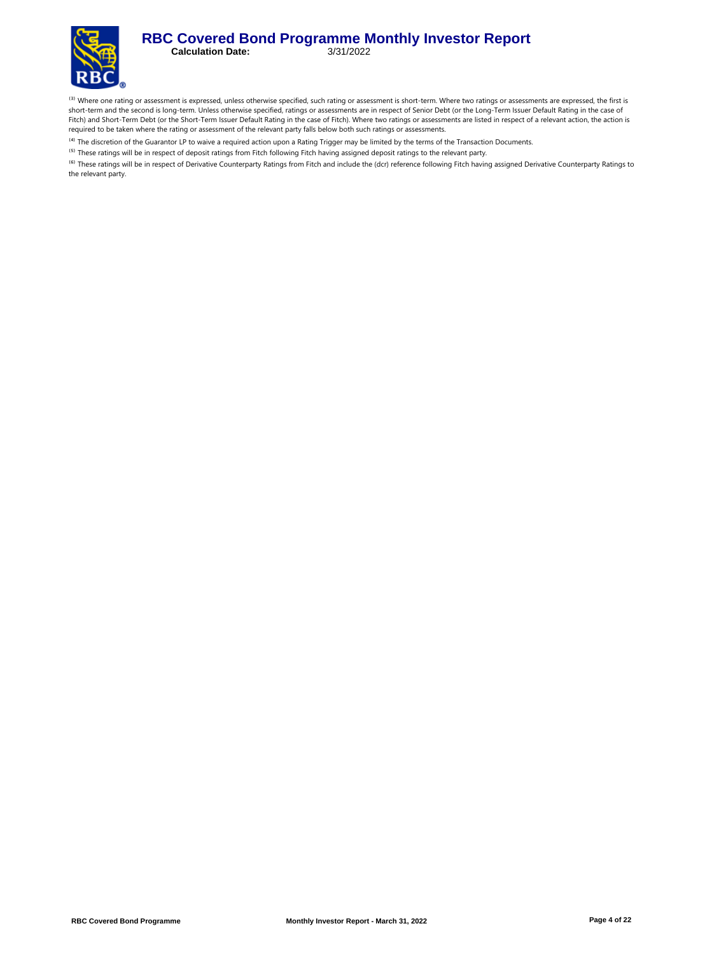

<sup>(3)</sup> Where one rating or assessment is expressed, unless otherwise specified, such rating or assessment is short-term. Where two ratings or assessments are expressed, the first is short-term and the second is long-term. Unless otherwise specified, ratings or assessments are in respect of Senior Debt (or the Long-Term Issuer Default Rating in the case of Fitch) and Short-Term Debt (or the Short-Term Issuer Default Rating in the case of Fitch). Where two ratings or assessments are listed in respect of a relevant action, the action is required to be taken where the rating or assessment of the relevant party falls below both such ratings or assessments.

<sup>(4)</sup> The discretion of the Guarantor LP to waive a required action upon a Rating Trigger may be limited by the terms of the Transaction Documents.

<sup>(5)</sup> These ratings will be in respect of deposit ratings from Fitch following Fitch having assigned deposit ratings to the relevant party.

<sup>(6)</sup> These ratings will be in respect of Derivative Counterparty Ratings from Fitch and include the (dcr) reference following Fitch having assigned Derivative Counterparty Ratings to the relevant party.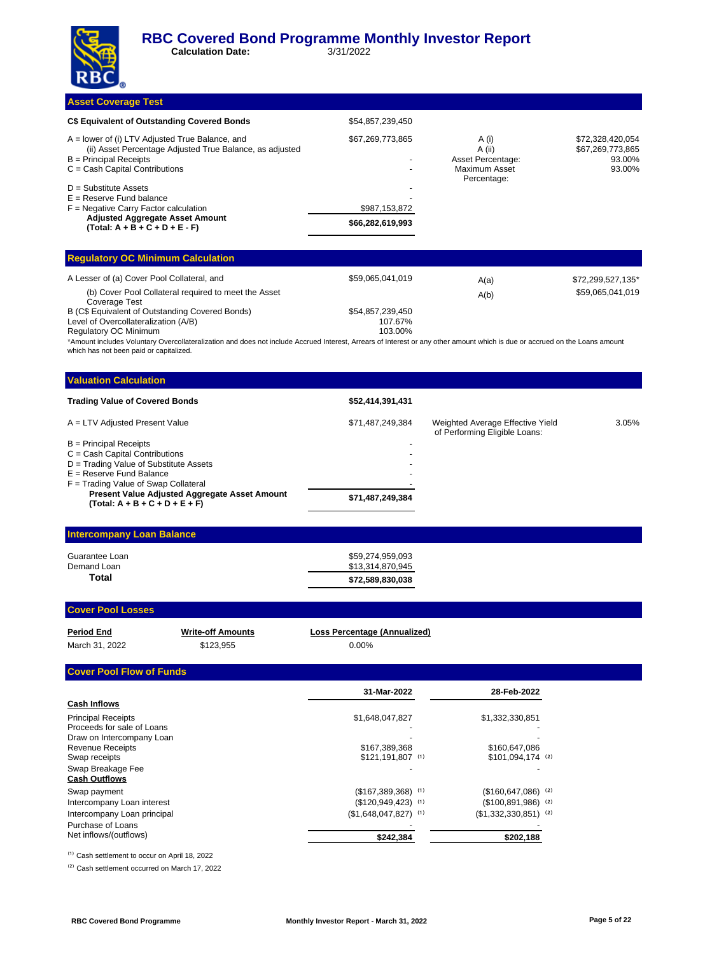**Calculation Date:** 3/31/2022

**Asset Coverage Test** 

| -- - - - - - - - - - - - - -                                                                                                                                                   |                                   |                                                                      |                                                          |
|--------------------------------------------------------------------------------------------------------------------------------------------------------------------------------|-----------------------------------|----------------------------------------------------------------------|----------------------------------------------------------|
| C\$ Equivalent of Outstanding Covered Bonds                                                                                                                                    | \$54,857,239,450                  |                                                                      |                                                          |
| A = lower of (i) LTV Adjusted True Balance, and<br>(ii) Asset Percentage Adjusted True Balance, as adjusted<br>$B =$ Principal Receipts<br>$C = Cash$ Capital Contributions    | \$67,269,773,865                  | A (i)<br>A (ii)<br>Asset Percentage:<br>Maximum Asset<br>Percentage: | \$72,328,420,054<br>\$67,269,773,865<br>93.00%<br>93.00% |
| $D =$ Substitute Assets<br>$E =$ Reserve Fund balance<br>$F =$ Negative Carry Factor calculation<br><b>Adjusted Aggregate Asset Amount</b><br>$(Total: A + B + C + D + E - F)$ | \$987,153,872<br>\$66,282,619,993 |                                                                      |                                                          |
| <b>Requiatory OC Minimum Calculation</b>                                                                                                                                       |                                   |                                                                      |                                                          |

| <b>Executive y OU Millimani Calvalation</b>                           |                  |      |                   |  |  |
|-----------------------------------------------------------------------|------------------|------|-------------------|--|--|
| A Lesser of (a) Cover Pool Collateral, and                            | \$59.065.041.019 | A(a) | \$72,299,527,135* |  |  |
| (b) Cover Pool Collateral required to meet the Asset<br>Coverage Test |                  | A(b) | \$59,065,041,019  |  |  |
| B (C\$ Equivalent of Outstanding Covered Bonds)                       | \$54.857.239.450 |      |                   |  |  |
| Level of Overcollateralization (A/B)                                  | 107.67%          |      |                   |  |  |
| Regulatory OC Minimum                                                 | 103.00%          |      |                   |  |  |

\*Amount includes Voluntary Overcollateralization and does not include Accrued Interest, Arrears of Interest or any other amount which is due or accrued on the Loans amount which has not been paid or capitalized.

| <b>Valuation Calculation</b>                                                      |                  |                                                                   |       |
|-----------------------------------------------------------------------------------|------------------|-------------------------------------------------------------------|-------|
| <b>Trading Value of Covered Bonds</b>                                             | \$52,414,391,431 |                                                                   |       |
| A = LTV Adjusted Present Value                                                    | \$71,487,249,384 | Weighted Average Effective Yield<br>of Performing Eligible Loans: | 3.05% |
| $B =$ Principal Receipts                                                          |                  |                                                                   |       |
| $C = Cash$ Capital Contributions                                                  |                  |                                                                   |       |
| D = Trading Value of Substitute Assets                                            |                  |                                                                   |       |
| $E =$ Reserve Fund Balance                                                        |                  |                                                                   |       |
| $F =$ Trading Value of Swap Collateral                                            |                  |                                                                   |       |
| Present Value Adjusted Aggregate Asset Amount<br>$(Total: A + B + C + D + E + F)$ | \$71,487,249,384 |                                                                   |       |
|                                                                                   |                  |                                                                   |       |

#### **Intercompany Loan Balance**

| \$72,589,830,038 |
|------------------|
| \$13,314,870,945 |
| \$59,274,959,093 |
|                  |

#### **Cover Pool Losses**

| Period End     | <b>Write-off Amounts</b> | Loss Percentage (Annualized) |
|----------------|--------------------------|------------------------------|
| March 31, 2022 | \$123.955                | $0.00\%$                     |

#### **Cover Pool Flow of Funds**

|                             | 31-Mar-2022                     | 28-Feb-2022                     |
|-----------------------------|---------------------------------|---------------------------------|
| <b>Cash Inflows</b>         |                                 |                                 |
| <b>Principal Receipts</b>   | \$1,648,047,827                 | \$1,332,330,851                 |
| Proceeds for sale of Loans  |                                 |                                 |
| Draw on Intercompany Loan   |                                 |                                 |
| <b>Revenue Receipts</b>     | \$167.389.368                   | \$160,647,086                   |
| Swap receipts               | $$121,191,807$ (1)              | $$101,094,174$ (2)              |
| Swap Breakage Fee           |                                 |                                 |
| <b>Cash Outflows</b>        |                                 |                                 |
| Swap payment                | $($167,389,368)$ <sup>(1)</sup> | $($160,647,086)$ <sup>(2)</sup> |
| Intercompany Loan interest  | $($120,949,423)$ (1)            | $($100,891,986)$ <sup>(2)</sup> |
| Intercompany Loan principal | $($1,648,047,827)$ (1)          | $($1,332,330,851)$ (2)          |
| Purchase of Loans           |                                 |                                 |
| Net inflows/(outflows)      | \$242,384                       | \$202,188                       |

<sup>(1)</sup> Cash settlement to occur on April 18, 2022

<sup>(2)</sup> Cash settlement occurred on March 17, 2022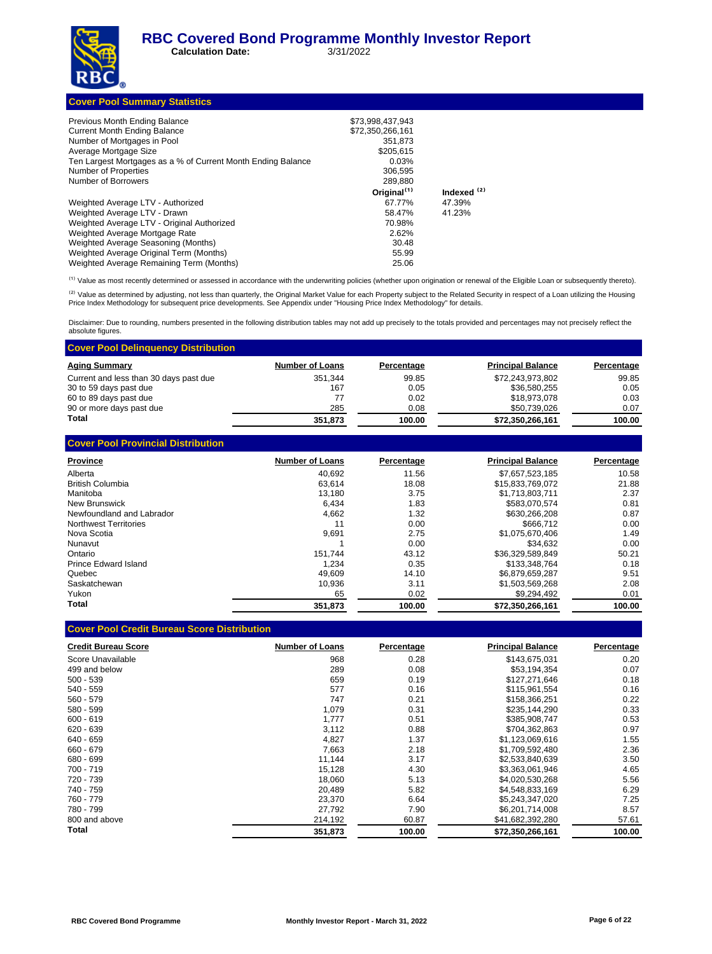**Calculation Date:** 3/31/2022

|  | <b>Cover Pool Summary Statistics</b> |
|--|--------------------------------------|
|  |                                      |

| Previous Month Ending Balance                                | \$73,998,437,943        |                        |
|--------------------------------------------------------------|-------------------------|------------------------|
| <b>Current Month Ending Balance</b>                          | \$72.350.266.161        |                        |
| Number of Mortgages in Pool                                  | 351.873                 |                        |
| Average Mortgage Size                                        | \$205,615               |                        |
| Ten Largest Mortgages as a % of Current Month Ending Balance | 0.03%                   |                        |
| Number of Properties                                         | 306.595                 |                        |
| Number of Borrowers                                          | 289.880                 |                        |
|                                                              | Original <sup>(1)</sup> | Indexed <sup>(2)</sup> |
| Weighted Average LTV - Authorized                            | 67.77%                  | 47.39%                 |
| Weighted Average LTV - Drawn                                 | 58.47%                  | 41.23%                 |
| Weighted Average LTV - Original Authorized                   | 70.98%                  |                        |
| Weighted Average Mortgage Rate                               | 2.62%                   |                        |
| Weighted Average Seasoning (Months)                          | 30.48                   |                        |
| Weighted Average Original Term (Months)                      | 55.99                   |                        |
| Weighted Average Remaining Term (Months)                     | 25.06                   |                        |

(1) Value as most recently determined or assessed in accordance with the underwriting policies (whether upon origination or renewal of the Eligible Loan or subsequently thereto).

<sup>(2)</sup> Value as determined by adjusting, not less than quarterly, the Original Market Value for each Property subject to the Related Security in respect of a Loan utilizing the Housing<br>Price Index Methodology for subsequent

Disclaimer: Due to rounding, numbers presented in the following distribution tables may not add up precisely to the totals provided and percentages may not precisely reflect the absolute figures.

| <b>Cover Pool Delinguency Distribution</b> |                        |            |                          |            |
|--------------------------------------------|------------------------|------------|--------------------------|------------|
| <b>Aging Summary</b>                       | <b>Number of Loans</b> | Percentage | <b>Principal Balance</b> | Percentage |
| Current and less than 30 days past due     | 351.344                | 99.85      | \$72,243,973,802         | 99.85      |
| 30 to 59 days past due                     | 167                    | 0.05       | \$36.580.255             | 0.05       |
| 60 to 89 days past due                     | 77                     | 0.02       | \$18.973.078             | 0.03       |
| 90 or more days past due                   | 285                    | 0.08       | \$50,739,026             | 0.07       |
| Total                                      | 351,873                | 100.00     | \$72,350,266,161         | 100.00     |

| <b>Cover Pool Provincial Distribution</b> |                        |            |                          |            |
|-------------------------------------------|------------------------|------------|--------------------------|------------|
| <b>Province</b>                           | <b>Number of Loans</b> | Percentage | <b>Principal Balance</b> | Percentage |
| Alberta                                   | 40.692                 | 11.56      | \$7,657,523,185          | 10.58      |
| <b>British Columbia</b>                   | 63.614                 | 18.08      | \$15.833.769.072         | 21.88      |
| Manitoba                                  | 13,180                 | 3.75       | \$1,713,803,711          | 2.37       |
| New Brunswick                             | 6,434                  | 1.83       | \$583.070.574            | 0.81       |
| Newfoundland and Labrador                 | 4,662                  | 1.32       | \$630,266,208            | 0.87       |
| Northwest Territories                     | 11                     | 0.00       | \$666.712                | 0.00       |
| Nova Scotia                               | 9,691                  | 2.75       | \$1,075,670,406          | 1.49       |
| Nunavut                                   |                        | 0.00       | \$34.632                 | 0.00       |
| Ontario                                   | 151.744                | 43.12      | \$36.329.589.849         | 50.21      |
| Prince Edward Island                      | 1.234                  | 0.35       | \$133,348,764            | 0.18       |
| Quebec                                    | 49.609                 | 14.10      | \$6,879,659,287          | 9.51       |
| Saskatchewan                              | 10.936                 | 3.11       | \$1.503.569.268          | 2.08       |
| Yukon                                     | 65                     | 0.02       | \$9,294,492              | 0.01       |
| Total                                     | 351.873                | 100.00     | \$72,350,266,161         | 100.00     |

| <b>Credit Bureau Score</b> | <b>Number of Loans</b> | Percentage | <b>Principal Balance</b> | Percentage |
|----------------------------|------------------------|------------|--------------------------|------------|
| Score Unavailable          | 968                    | 0.28       | \$143,675,031            | 0.20       |
| 499 and below              | 289                    | 0.08       | \$53.194.354             | 0.07       |
| $500 - 539$                | 659                    | 0.19       | \$127,271,646            | 0.18       |
| 540 - 559                  | 577                    | 0.16       | \$115,961,554            | 0.16       |
| 560 - 579                  | 747                    | 0.21       | \$158,366,251            | 0.22       |
| 580 - 599                  | 1,079                  | 0.31       | \$235.144.290            | 0.33       |
| $600 - 619$                | 1,777                  | 0.51       | \$385,908,747            | 0.53       |
| $620 - 639$                | 3,112                  | 0.88       | \$704,362,863            | 0.97       |
| 640 - 659                  | 4,827                  | 1.37       | \$1,123,069,616          | 1.55       |
| 660 - 679                  | 7.663                  | 2.18       | \$1.709.592.480          | 2.36       |
| 680 - 699                  | 11.144                 | 3.17       | \$2,533,840,639          | 3.50       |
| 700 - 719                  | 15,128                 | 4.30       | \$3,363,061,946          | 4.65       |
| 720 - 739                  | 18,060                 | 5.13       | \$4,020,530,268          | 5.56       |
| 740 - 759                  | 20,489                 | 5.82       | \$4,548,833,169          | 6.29       |
| 760 - 779                  | 23.370                 | 6.64       | \$5,243,347,020          | 7.25       |
| 780 - 799                  | 27,792                 | 7.90       | \$6,201,714,008          | 8.57       |
| 800 and above              | 214,192                | 60.87      | \$41,682,392,280         | 57.61      |
| Total                      | 351,873                | 100.00     | \$72,350,266,161         | 100.00     |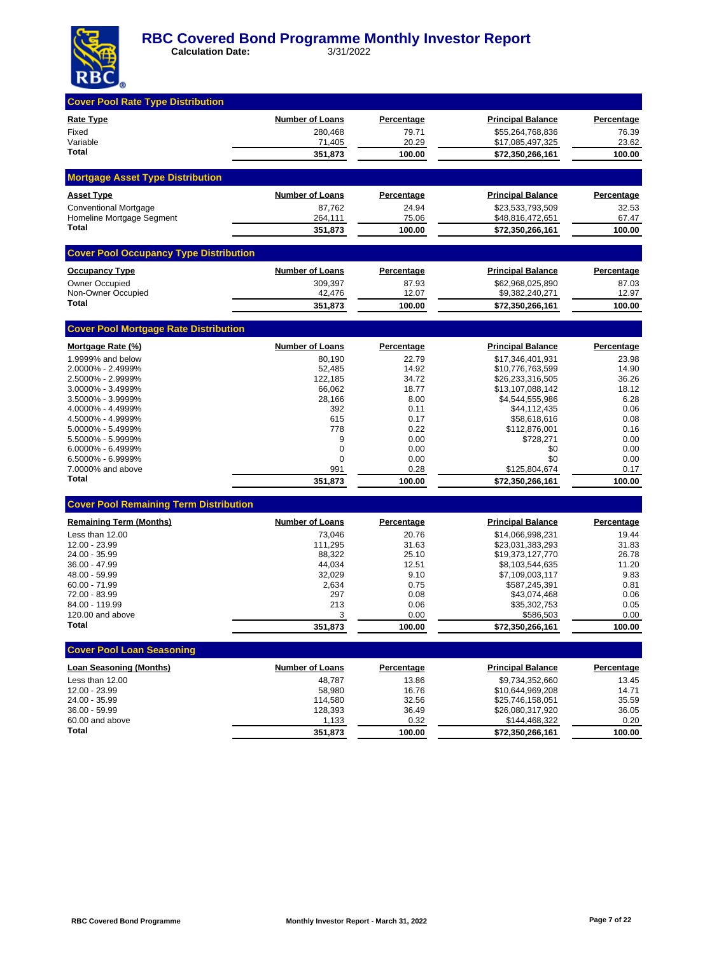

| <b>Cover Pool Rate Type Distribution</b>      |                        |                   |                                      |                   |
|-----------------------------------------------|------------------------|-------------------|--------------------------------------|-------------------|
| Rate Type                                     | <b>Number of Loans</b> | <b>Percentage</b> | <u>Principal Balance</u>             | <b>Percentage</b> |
| Fixed                                         | 280.468                | 79.71             | \$55.264.768.836                     | 76.39             |
| Variable                                      | 71,405                 | 20.29             | \$17,085,497,325                     | 23.62             |
| Total                                         | 351,873                | 100.00            | \$72,350,266,161                     | 100.00            |
| <b>Mortgage Asset Type Distribution</b>       |                        |                   |                                      |                   |
| <b>Asset Type</b>                             | <b>Number of Loans</b> | Percentage        | <b>Principal Balance</b>             | Percentage        |
| <b>Conventional Mortgage</b>                  | 87,762                 | 24.94             | \$23,533,793,509                     | 32.53             |
| Homeline Mortgage Segment<br><b>Total</b>     | 264,111                | 75.06             | \$48,816,472,651                     | 67.47             |
|                                               | 351,873                | 100.00            | \$72,350,266,161                     | 100.00            |
| <b>Cover Pool Occupancy Type Distribution</b> |                        |                   |                                      |                   |
| <b>Occupancy Type</b>                         | <b>Number of Loans</b> | <b>Percentage</b> | <b>Principal Balance</b>             | Percentage        |
| <b>Owner Occupied</b>                         | 309,397                | 87.93             | \$62,968,025,890                     | 87.03             |
| Non-Owner Occupied<br>Total                   | 42,476                 | 12.07<br>100.00   | \$9,382,240,271                      | 12.97<br>100.00   |
|                                               | 351,873                |                   | \$72,350,266,161                     |                   |
| <b>Cover Pool Mortgage Rate Distribution</b>  |                        |                   |                                      |                   |
| Mortgage Rate (%)                             | <b>Number of Loans</b> | <b>Percentage</b> | <b>Principal Balance</b>             | Percentage        |
| 1.9999% and below                             | 80,190                 | 22.79             | \$17,346,401,931                     | 23.98             |
| 2.0000% - 2.4999%<br>2.5000% - 2.9999%        | 52,485<br>122,185      | 14.92<br>34.72    | \$10,776,763,599<br>\$26,233,316,505 | 14.90<br>36.26    |
| 3.0000% - 3.4999%                             | 66,062                 | 18.77             | \$13,107,088,142                     | 18.12             |
| 3.5000% - 3.9999%                             | 28,166                 | 8.00              | \$4,544,555,986                      | 6.28              |
| 4.0000% - 4.4999%                             | 392                    | 0.11              | \$44,112,435                         | 0.06              |
| 4.5000% - 4.9999%                             | 615                    | 0.17              | \$58,618,616                         | 0.08              |
| 5.0000% - 5.4999%                             | 778                    | 0.22              | \$112,876,001                        | 0.16              |
| 5.5000% - 5.9999%                             | 9                      | 0.00              | \$728,271                            | 0.00              |
| 6.0000% - 6.4999%                             | 0                      | 0.00              | \$0                                  | 0.00              |
| 6.5000% - 6.9999%<br>7.0000% and above        | 0<br>991               | 0.00<br>0.28      | \$0<br>\$125,804,674                 | 0.00<br>0.17      |
| <b>Total</b>                                  | 351,873                | 100.00            | \$72,350,266,161                     | 100.00            |
|                                               |                        |                   |                                      |                   |
| <b>Cover Pool Remaining Term Distribution</b> |                        |                   |                                      |                   |
| <b>Remaining Term (Months)</b>                | <b>Number of Loans</b> | Percentage        | <b>Principal Balance</b>             | Percentage        |
| Less than 12.00                               | 73,046                 | 20.76             | \$14,066,998,231                     | 19.44             |
| 12.00 - 23.99                                 | 111,295                | 31.63             | \$23,031,383,293                     | 31.83             |
| 24.00 - 35.99<br>36.00 - 47.99                | 88,322                 | 25.10<br>12.51    | \$19,373,127,770                     | 26.78<br>11.20    |
| 48.00 - 59.99                                 | 44,034<br>32,029       | 9.10              | \$8,103,544,635<br>\$7,109,003,117   | 9.83              |
| $60.00 - 71.99$                               | 2,634                  | 0.75              | \$587,245,391                        | 0.81              |
| 72.00 - 83.99                                 | 297                    | 0.08              | \$43,074,468                         | 0.06              |
| 84.00 - 119.99                                | 213                    | 0.06              | \$35,302,753                         | 0.05              |
| 120.00 and above                              | 3                      | 0.00              | \$586,503                            | 0.00              |
| <b>Total</b>                                  | 351,873                | 100.00            | \$72,350,266,161                     | 100.00            |
| <b>Cover Pool Loan Seasoning</b>              |                        |                   |                                      |                   |
| Loan Seasoning (Months)                       | <b>Number of Loans</b> | <b>Percentage</b> | <b>Principal Balance</b>             | Percentage        |
| Less than 12.00                               | 48,787                 | 13.86             | \$9,734,352,660                      | 13.45             |
| 12.00 - 23.99                                 | 58,980                 | 16.76             | \$10,644,969,208                     | 14.71             |
| 24.00 - 35.99                                 | 114,580                | 32.56             | \$25,746,158,051                     | 35.59             |
| 36.00 - 59.99                                 | 128,393                | 36.49             | \$26,080,317,920                     | 36.05             |
| 60.00 and above                               | 1,133                  | 0.32              | \$144,468,322                        | 0.20              |
| Total                                         | 351,873                | 100.00            | \$72,350,266,161                     | 100.00            |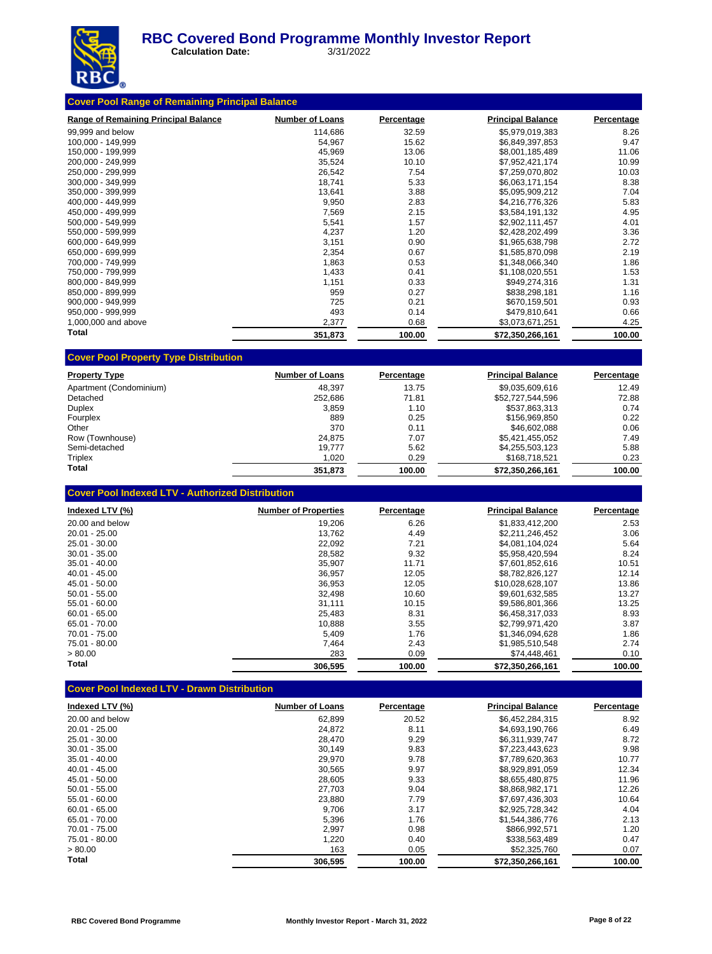

 **Calculation Date:** 3/31/2022

| <b>Range of Remaining Principal Balance</b> | <b>Number of Loans</b> | Percentage | <b>Principal Balance</b> | <b>Percentage</b> |
|---------------------------------------------|------------------------|------------|--------------------------|-------------------|
| 99,999 and below                            | 114,686                | 32.59      | \$5,979,019,383          | 8.26              |
| 100,000 - 149,999                           | 54,967                 | 15.62      | \$6,849,397,853          | 9.47              |
| 150,000 - 199,999                           | 45,969                 | 13.06      | \$8,001,185,489          | 11.06             |
| 200.000 - 249.999                           | 35,524                 | 10.10      | \$7.952.421.174          | 10.99             |
| 250,000 - 299,999                           | 26,542                 | 7.54       | \$7,259,070,802          | 10.03             |
| 300,000 - 349,999                           | 18.741                 | 5.33       | \$6,063,171,154          | 8.38              |
| 350,000 - 399,999                           | 13,641                 | 3.88       | \$5,095,909,212          | 7.04              |
| 400,000 - 449,999                           | 9,950                  | 2.83       | \$4,216,776,326          | 5.83              |
| 450,000 - 499,999                           | 7,569                  | 2.15       | \$3,584,191,132          | 4.95              |
| 500,000 - 549,999                           | 5,541                  | 1.57       | \$2,902,111,457          | 4.01              |
| 550,000 - 599,999                           | 4,237                  | 1.20       | \$2,428,202,499          | 3.36              |
| 600.000 - 649.999                           | 3,151                  | 0.90       | \$1,965,638,798          | 2.72              |
| 650,000 - 699,999                           | 2,354                  | 0.67       | \$1,585,870,098          | 2.19              |
| 700,000 - 749,999                           | 1,863                  | 0.53       | \$1,348,066,340          | 1.86              |
| 750,000 - 799,999                           | 1,433                  | 0.41       | \$1,108,020,551          | 1.53              |
| 800,000 - 849,999                           | 1,151                  | 0.33       | \$949,274,316            | 1.31              |
| 850,000 - 899,999                           | 959                    | 0.27       | \$838,298,181            | 1.16              |
| 900,000 - 949,999                           | 725                    | 0.21       | \$670,159,501            | 0.93              |
| 950,000 - 999,999                           | 493                    | 0.14       | \$479,810,641            | 0.66              |
| 1,000,000 and above                         | 2,377                  | 0.68       | \$3,073,671,251          | 4.25              |
| Total                                       | 351,873                | 100.00     | \$72,350,266,161         | 100.00            |

| <b>Property Type</b>    | <b>Number of Loans</b> | Percentage | <b>Principal Balance</b> | Percentage |
|-------------------------|------------------------|------------|--------------------------|------------|
| Apartment (Condominium) | 48.397                 | 13.75      | \$9.035.609.616          | 12.49      |
| Detached                | 252.686                | 71.81      | \$52,727,544,596         | 72.88      |
| Duplex                  | 3.859                  | 1.10       | \$537.863.313            | 0.74       |
| Fourplex                | 889                    | 0.25       | \$156,969,850            | 0.22       |
| Other                   | 370                    | 0.11       | \$46,602,088             | 0.06       |
| Row (Townhouse)         | 24.875                 | 7.07       | \$5.421.455.052          | 7.49       |
| Semi-detached           | 19.777                 | 5.62       | \$4,255,503,123          | 5.88       |
| Triplex                 | 1,020                  | 0.29       | \$168,718,521            | 0.23       |
| Total                   | 351.873                | 100.00     | \$72.350.266.161         | 100.00     |

| <b>Cover Pool Indexed LTV - Authorized Distribution</b> |  |
|---------------------------------------------------------|--|
|---------------------------------------------------------|--|

| Indexed LTV (%) | <b>Number of Properties</b> | Percentage | <b>Principal Balance</b> | Percentage |
|-----------------|-----------------------------|------------|--------------------------|------------|
| 20.00 and below | 19.206                      | 6.26       | \$1,833,412,200          | 2.53       |
| $20.01 - 25.00$ | 13.762                      | 4.49       | \$2.211.246.452          | 3.06       |
| 25.01 - 30.00   | 22,092                      | 7.21       | \$4,081,104,024          | 5.64       |
| $30.01 - 35.00$ | 28,582                      | 9.32       | \$5,958,420,594          | 8.24       |
| $35.01 - 40.00$ | 35,907                      | 11.71      | \$7,601,852,616          | 10.51      |
| $40.01 - 45.00$ | 36.957                      | 12.05      | \$8.782.826.127          | 12.14      |
| 45.01 - 50.00   | 36,953                      | 12.05      | \$10.028.628.107         | 13.86      |
| $50.01 - 55.00$ | 32.498                      | 10.60      | \$9.601.632.585          | 13.27      |
| $55.01 - 60.00$ | 31,111                      | 10.15      | \$9,586,801,366          | 13.25      |
| $60.01 - 65.00$ | 25,483                      | 8.31       | \$6.458.317.033          | 8.93       |
| 65.01 - 70.00   | 10,888                      | 3.55       | \$2,799,971,420          | 3.87       |
| $70.01 - 75.00$ | 5,409                       | 1.76       | \$1.346.094.628          | 1.86       |
| 75.01 - 80.00   | 7.464                       | 2.43       | \$1.985.510.548          | 2.74       |
| > 80.00         | 283                         | 0.09       | \$74,448,461             | 0.10       |
| Total           | 306,595                     | 100.00     | \$72,350,266,161         | 100.00     |

# **Cover Pool Indexed LTV - Drawn Distribution**

| Indexed LTV (%) | <b>Number of Loans</b> | Percentage | <b>Principal Balance</b> | Percentage |
|-----------------|------------------------|------------|--------------------------|------------|
| 20.00 and below | 62,899                 | 20.52      | \$6,452,284,315          | 8.92       |
| $20.01 - 25.00$ | 24.872                 | 8.11       | \$4.693.190.766          | 6.49       |
| 25.01 - 30.00   | 28,470                 | 9.29       | \$6,311,939,747          | 8.72       |
| $30.01 - 35.00$ | 30.149                 | 9.83       | \$7.223.443.623          | 9.98       |
| $35.01 - 40.00$ | 29,970                 | 9.78       | \$7,789,620,363          | 10.77      |
| $40.01 - 45.00$ | 30.565                 | 9.97       | \$8.929.891.059          | 12.34      |
| 45.01 - 50.00   | 28,605                 | 9.33       | \$8.655.480.875          | 11.96      |
| $50.01 - 55.00$ | 27,703                 | 9.04       | \$8,868,982,171          | 12.26      |
| $55.01 - 60.00$ | 23,880                 | 7.79       | \$7,697,436,303          | 10.64      |
| $60.01 - 65.00$ | 9.706                  | 3.17       | \$2,925,728,342          | 4.04       |
| $65.01 - 70.00$ | 5,396                  | 1.76       | \$1.544.386.776          | 2.13       |
| 70.01 - 75.00   | 2,997                  | 0.98       | \$866,992,571            | 1.20       |
| 75.01 - 80.00   | 1,220                  | 0.40       | \$338,563,489            | 0.47       |
| > 80.00         | 163                    | 0.05       | \$52,325,760             | 0.07       |
| Total           | 306.595                | 100.00     | \$72.350.266.161         | 100.00     |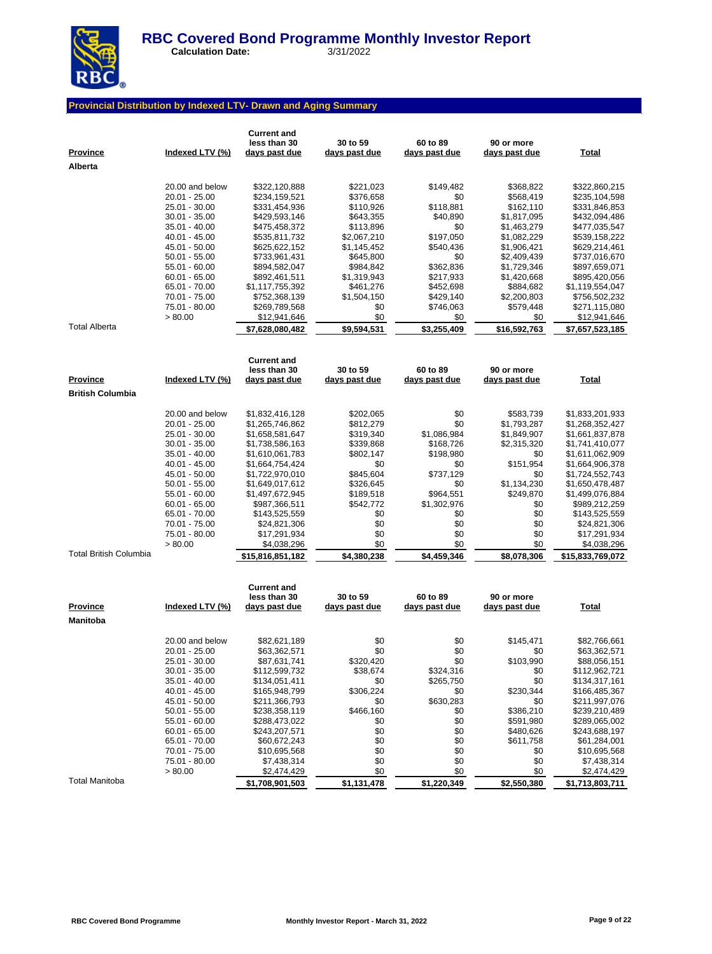

 **Calculation Date:** 3/31/2022

### **Provincial Distribution by Indexed LTV- Drawn and Aging Summary**

| <u>Province</u><br>Alberta | Indexed LTV (%)                  | <b>Current and</b><br>less than 30<br>days past due | 30 to 59<br>days past due | 60 to 89<br>days past due | 90 or more<br>days past due | <b>Total</b>                    |
|----------------------------|----------------------------------|-----------------------------------------------------|---------------------------|---------------------------|-----------------------------|---------------------------------|
|                            | 20.00 and below                  |                                                     | \$221,023                 | \$149,482                 |                             |                                 |
|                            | 20.01 - 25.00                    | \$322,120,888<br>\$234,159,521                      | \$376,658                 | \$0                       | \$368,822<br>\$568,419      | \$322,860,215<br>\$235,104,598  |
|                            | 25.01 - 30.00                    | \$331,454,936                                       | \$110,926                 | \$118,881                 | \$162,110                   | \$331,846,853                   |
|                            | $30.01 - 35.00$                  | \$429,593,146                                       | \$643,355                 | \$40,890                  | \$1,817,095                 | \$432,094,486                   |
|                            | 35.01 - 40.00                    | \$475,458,372                                       | \$113,896                 | \$0                       | \$1,463,279                 | \$477,035,547                   |
|                            | 40.01 - 45.00                    | \$535,811,732                                       | \$2,067,210               | \$197,050                 | \$1,082,229                 | \$539,158,222                   |
|                            | 45.01 - 50.00                    | \$625,622,152                                       | \$1,145,452               | \$540,436                 | \$1,906,421                 | \$629,214,461                   |
|                            | $50.01 - 55.00$                  | \$733,961,431                                       | \$645,800                 | \$0                       | \$2,409,439                 | \$737,016,670                   |
|                            | 55.01 - 60.00                    | \$894,582,047                                       | \$984,842                 | \$362,836                 | \$1,729,346                 | \$897,659,071                   |
|                            | $60.01 - 65.00$                  | \$892,461,511                                       | \$1,319,943               | \$217,933                 | \$1,420,668                 | \$895,420,056                   |
|                            | 65.01 - 70.00                    | \$1,117,755,392                                     | \$461,276                 | \$452,698                 | \$884,682                   | \$1,119,554,047                 |
|                            | 70.01 - 75.00                    | \$752,368,139                                       | \$1,504,150               | \$429,140                 | \$2,200,803                 | \$756,502,232                   |
|                            | 75.01 - 80.00                    | \$269,789,568                                       | \$0                       | \$746,063                 | \$579,448                   | \$271,115,080                   |
| <b>Total Alberta</b>       | > 80.00                          | \$12,941,646<br>\$7,628,080,482                     | \$0<br>\$9,594,531        | \$0<br>\$3,255,409        | \$0<br>\$16,592,763         | \$12,941,646<br>\$7,657,523,185 |
|                            |                                  |                                                     |                           |                           |                             |                                 |
|                            |                                  | <b>Current and</b><br>less than 30                  | 30 to 59                  | 60 to 89                  | 90 or more                  |                                 |
| Province                   | Indexed LTV (%)                  | days past due                                       | days past due             | days past due             | days past due               | <b>Total</b>                    |
| <b>British Columbia</b>    |                                  |                                                     |                           |                           |                             |                                 |
|                            | 20.00 and below                  | \$1,832,416,128                                     | \$202,065                 | \$0                       | \$583,739                   | \$1,833,201,933                 |
|                            | 20.01 - 25.00                    | \$1,265,746,862                                     | \$812,279                 | \$0                       | \$1,793,287                 | \$1,268,352,427                 |
|                            | 25.01 - 30.00                    | \$1,658,581,647                                     | \$319,340                 | \$1,086,984               | \$1,849,907                 | \$1,661,837,878                 |
|                            | 30.01 - 35.00                    | \$1,738,586,163                                     | \$339,868                 | \$168,726                 | \$2,315,320                 | \$1,741,410,077                 |
|                            | $35.01 - 40.00$                  | \$1,610,061,783                                     | \$802,147                 | \$198,980                 | \$0                         | \$1,611,062,909                 |
|                            | 40.01 - 45.00                    | \$1,664,754,424                                     | \$0                       | \$0                       | \$151,954                   | \$1,664,906,378                 |
|                            | 45.01 - 50.00                    | \$1,722,970,010                                     | \$845,604                 | \$737,129                 | \$0                         | \$1,724,552,743                 |
|                            | $50.01 - 55.00$                  | \$1,649,017,612                                     | \$326,645                 | \$0                       | \$1,134,230                 | \$1,650,478,487                 |
|                            | 55.01 - 60.00<br>$60.01 - 65.00$ | \$1,497,672,945                                     | \$189,518<br>\$542,772    | \$964,551<br>\$1,302,976  | \$249,870<br>\$0            | \$1,499,076,884                 |
|                            | 65.01 - 70.00                    | \$987,366,511<br>\$143,525,559                      | \$0                       | \$0                       | \$0                         | \$989,212,259<br>\$143,525,559  |
|                            | 70.01 - 75.00                    | \$24,821,306                                        | \$0                       | \$0                       | \$0                         | \$24,821,306                    |
|                            | 75.01 - 80.00                    | \$17,291,934                                        | \$0                       | \$0                       | \$0                         | \$17,291,934                    |
|                            | > 80.00                          | \$4,038,296                                         | \$0                       | \$0                       | \$0                         | \$4,038,296                     |
| Total British Columbia     |                                  | \$15,816,851,182                                    | \$4,380,238               | \$4,459,346               | \$8,078,306                 | \$15,833,769,072                |
|                            |                                  |                                                     |                           |                           |                             |                                 |
|                            |                                  | <b>Current and</b><br>less than 30                  | 30 to 59                  | 60 to 89                  | 90 or more                  |                                 |
| Province                   | Indexed LTV (%)                  | days past due                                       | days past due             | <u>days past due</u>      | days past due               | <b>Total</b>                    |
| Manitoba                   |                                  |                                                     |                           |                           |                             |                                 |
|                            | 20.00 and below                  | \$82,621,189                                        | \$0                       | \$0                       | \$145,471                   | \$82,766,661                    |
|                            | 20.01 - 25.00                    | \$63,362,571                                        | \$0                       | \$0                       | \$0                         | \$63,362,571                    |
|                            | 25.01 - 30.00                    | \$87,631,741                                        | \$320,420                 | \$0                       | \$103,990                   | \$88,056,151                    |
|                            | $30.01 - 35.00$                  | \$112,599,732                                       | \$38,674                  | \$324,316                 | \$0                         | \$112,962,721                   |
|                            | $35.01 - 40.00$                  | \$134,051,411                                       | \$0                       | \$265,750                 | \$0                         | \$134,317,161                   |
|                            | 40.01 - 45.00                    | \$165,948,799                                       | \$306,224                 | \$0                       | \$230,344                   | \$166,485,367                   |
|                            | 45.01 - 50.00                    | \$211,366,793                                       | \$0                       | \$630,283                 | \$0                         | \$211,997,076                   |
|                            | $50.01 - 55.00$                  | \$238,358,119                                       | \$466,160                 | \$0                       | \$386,210                   | \$239,210,489                   |
|                            | 55.01 - 60.00                    | \$288,473,022                                       | \$0<br>\$0                | \$0                       | \$591,980                   | \$289,065,002<br>\$243,688,197  |
|                            | $60.01 - 65.00$<br>65.01 - 70.00 | \$243,207,571<br>\$60,672,243                       | \$0                       | \$0<br>\$0                | \$480,626<br>\$611,758      | \$61,284,001                    |
|                            | 70.01 - 75.00                    | \$10,695,568                                        | \$0                       | \$0                       | \$0                         | \$10,695,568                    |
|                            | 75.01 - 80.00                    | \$7,438,314                                         | \$0                       | \$0                       | \$0                         | \$7,438,314                     |
|                            | > 80.00                          | \$2,474,429                                         | \$0                       | \$0                       | \$0                         | \$2,474,429                     |
| Total Manitoba             |                                  | \$1,708,901,503                                     | \$1,131,478               | \$1,220,349               | \$2,550,380                 | \$1,713,803,711                 |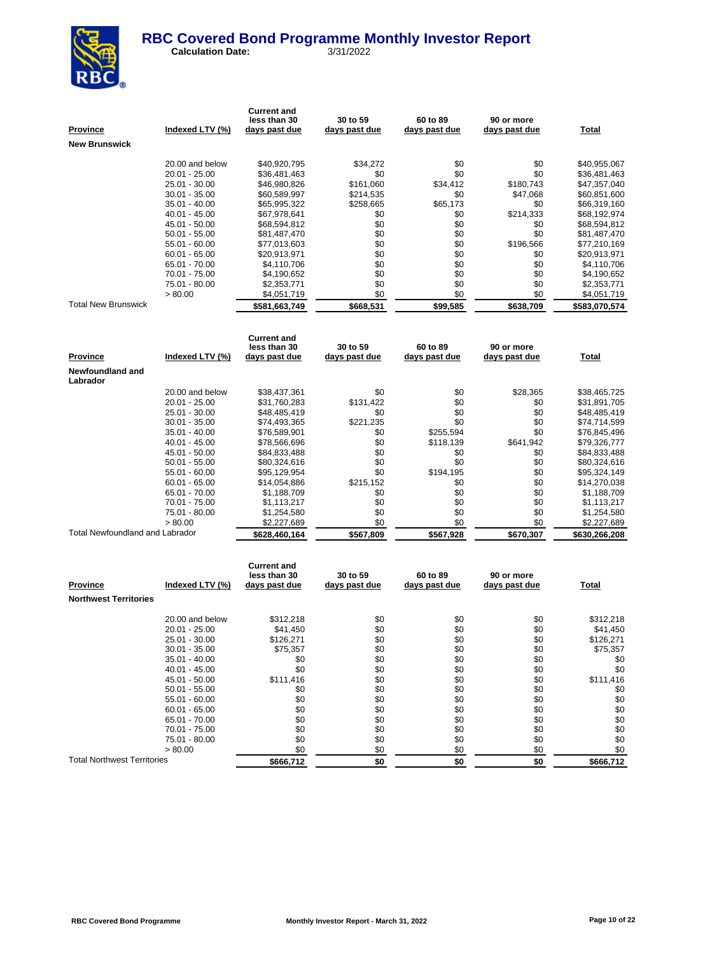

| P <u>rovince</u>                | Indexed LTV (%) | <b>Current and</b><br>less than 30<br>days past due | 30 to 59<br>days past due | 60 to 89<br>days past due | 90 or more<br>days past due | <b>Total</b>  |
|---------------------------------|-----------------|-----------------------------------------------------|---------------------------|---------------------------|-----------------------------|---------------|
| New Brunswick                   |                 |                                                     |                           |                           |                             |               |
|                                 |                 |                                                     |                           |                           |                             |               |
|                                 | 20.00 and below | \$40,920,795                                        | \$34,272                  | \$0                       | \$0                         | \$40,955,067  |
|                                 | 20.01 - 25.00   | \$36,481,463                                        | \$0                       | \$0                       | \$0                         | \$36,481,463  |
|                                 | 25.01 - 30.00   | \$46,980,826                                        | \$161,060                 | \$34,412                  | \$180,743                   | \$47,357,040  |
|                                 | $30.01 - 35.00$ | \$60,589,997                                        | \$214,535                 | \$0                       | \$47,068                    | \$60,851,600  |
|                                 | 35.01 - 40.00   | \$65,995,322                                        | \$258,665                 | \$65,173                  | \$0                         | \$66,319,160  |
|                                 | 40.01 - 45.00   | \$67,978,641                                        | \$0                       | \$0                       | \$214,333                   | \$68,192,974  |
|                                 | 45.01 - 50.00   | \$68,594,812                                        | \$0                       | \$0                       | \$0                         | \$68,594,812  |
|                                 | $50.01 - 55.00$ | \$81,487,470                                        | \$0                       | \$0                       | \$0                         | \$81,487,470  |
|                                 | 55.01 - 60.00   | \$77,013,603                                        | \$0                       | \$0                       | \$196,566                   | \$77,210,169  |
|                                 | $60.01 - 65.00$ | \$20,913,971                                        | \$0                       | \$0                       | \$0                         | \$20,913,971  |
|                                 | 65.01 - 70.00   | \$4,110,706                                         | \$0                       | \$0                       | \$0                         | \$4,110,706   |
|                                 | 70.01 - 75.00   | \$4,190,652                                         | \$0                       | \$0                       | \$0                         | \$4,190,652   |
|                                 | 75.01 - 80.00   | \$2,353,771                                         | \$0                       | \$0                       | \$0                         | \$2,353,771   |
|                                 | > 80.00         | \$4,051,719                                         | \$0                       | \$0                       | \$0                         | \$4,051,719   |
| Total New Brunswick             |                 | \$581.663.749                                       | \$668.531                 | \$99.585                  | \$638.709                   | \$583,070,574 |
|                                 |                 |                                                     |                           |                           |                             |               |
|                                 |                 | <b>Current and</b>                                  |                           |                           |                             |               |
|                                 |                 | less than 30                                        | 30 to 59                  | 60 to 89                  | 90 or more                  |               |
| Province                        | Indexed LTV (%) | days past due                                       | days past due             | days past due             | days past due               | <b>Total</b>  |
| Newfoundland and<br>Labrador    |                 |                                                     |                           |                           |                             |               |
|                                 | 20.00 and below | \$38,437,361                                        | \$0                       | \$0                       | \$28,365                    | \$38,465,725  |
|                                 | 20.01 - 25.00   | \$31,760,283                                        | \$131,422                 | \$0                       | \$0                         | \$31,891,705  |
|                                 | 25.01 - 30.00   | \$48,485,419                                        | \$0                       | \$0                       | \$0                         | \$48,485,419  |
|                                 | 30.01 - 35.00   | \$74,493,365                                        | \$221,235                 | \$0                       | \$0                         | \$74,714,599  |
|                                 | 35.01 - 40.00   | \$76,589,901                                        | \$0                       | \$255,594                 | \$0                         | \$76,845,496  |
|                                 | 40.01 - 45.00   | \$78,566,696                                        | \$0                       | \$118,139                 | \$641,942                   | \$79,326,777  |
|                                 | 45.01 - 50.00   | \$84,833,488                                        | \$0                       | \$0                       | \$0                         | \$84,833,488  |
|                                 | $50.01 - 55.00$ | \$80,324,616                                        | \$0                       | \$0                       | \$0                         | \$80,324,616  |
|                                 | 55.01 - 60.00   | \$95,129,954                                        | \$0                       | \$194,195                 | \$0                         | \$95,324,149  |
|                                 | $60.01 - 65.00$ | \$14,054,886                                        | \$215,152                 | \$0                       | \$0                         | \$14,270,038  |
|                                 | 65.01 - 70.00   | \$1,188,709                                         | \$0                       | \$0                       | \$0                         | \$1,188,709   |
|                                 | 70.01 - 75.00   | \$1,113,217                                         | \$0                       | \$0                       | \$0                         | \$1,113,217   |
|                                 | 75.01 - 80.00   | \$1,254,580                                         | \$0                       | \$0                       | \$0                         | \$1,254,580   |
|                                 | > 80.00         | \$2,227,689                                         | \$0                       | \$0                       | \$0                         | \$2,227,689   |
| Total Newfoundland and Labrador |                 | \$628,460,164                                       | \$567,809                 | \$567,928                 | \$670,307                   | \$630,266,208 |
|                                 |                 |                                                     |                           |                           |                             |               |
|                                 |                 | <b>Current and</b>                                  |                           |                           |                             |               |
|                                 |                 | less than 30                                        | 30 to 59                  | 60 to 89                  | 90 or more                  |               |
| Province                        | Indexed LTV (%) | <u>days past due</u>                                | days past due             | days past due             | days past due               | <b>Total</b>  |
| <b>Northwest Territories</b>    |                 |                                                     |                           |                           |                             |               |
|                                 | 20.00 and below |                                                     |                           |                           | \$0                         |               |
|                                 |                 | \$312,218                                           | \$0                       | \$0                       | \$0                         | \$312,218     |
|                                 | 20.01 - 25.00   | \$41,450                                            | \$0                       | \$0                       |                             | \$41,450      |

Total Northwest Territories **\$666,712 \$666,712 \$0 \$0 \$0 \$0 \$0 \$666,712** 

20.01 - 25.00 \$41,450 \$0 \$0 \$0 \$0 \$126,271 \$0 \$0 \$126,271 \$0 \$0 \$126,271 25.01 - 30.00 \$126,271 \$0 \$0 \$0 \$126,271 \$0 \$0 \$126,271 \$0 \$126,271 \$0 \$126,271 \$0 \$126,271 \$0 \$126,271 \$0 \$126,271 \$13.00 \$126,271 \$13.00 \$126,271 \$13.00 \$126,271 \$13.00 \$126,271 \$13.00 \$13.00 \$126,357 \$13.00 \$13.00 \$13.0  $\begin{array}{ccccccccc} 30.01 & -35.00 && 875,357 && 80 && 80 && 80 && 875,357 \cr 35.01 & -40.00 && 80 && 80 && 80 && 80 && 80 \cr 40.01 & -45.00 && 80 && 80 && 80 && 80 && 80 \cr 45.01 & -50.00 && 8111,416 && 80 && 80 && 80 && 80 && 80 \cr 45.02 & -50.00 && 8111,416 && 80 && 80 && 80 && 8111,416 \cr \end{array$ 35.01 - 40.00 \$0 \$0 \$0 \$0 \$0 40.01 - 45.00 \$0 \$0 \$0 \$0 \$0 45.01 - 50.00 \$111,416 \$0 \$0 \$0 \$0 \$0 \$111,416<br>50.01 - 55.00 \$0 \$0 \$0 \$0 \$0 \$0 \$0 \$0 50.01 - 55.00 \$0 \$0 \$0 \$0 \$0 55.01 - 60.00 \$0 \$0 \$0 \$0 \$0 60.01 - 65.00 \$0 \$0 \$0 \$0 \$0 65.01 - 70.00 \$0 \$0 \$0 \$0 \$0 70.01 - 75.00 \$0 \$0 \$0 \$0 \$0 75.01 - 80.00 \$0 \$0 \$0 \$0 \$0  $> 80.00$  \$0 \$0 \$0 \$0 \$0 \$0 \$0 \$0 \$0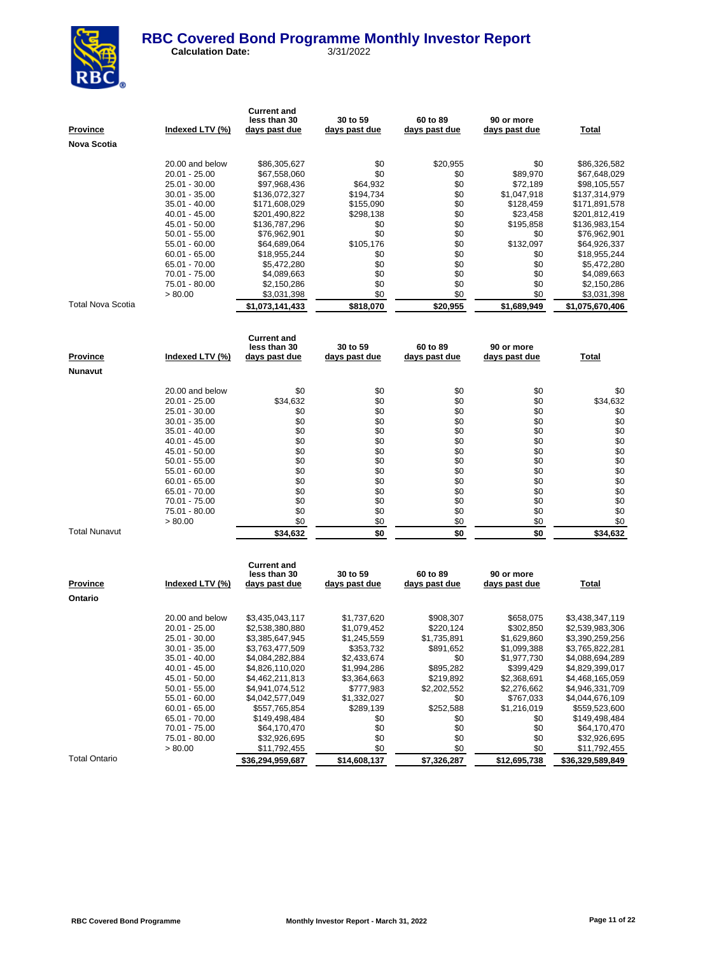

| <u>Province</u>      | Indexed LTV (%)          | <b>Current and</b><br>less than 30<br><u>days past due</u> | 30 to 59<br><u>days past due</u> | 60 to 89<br>days past due | 90 or more<br>days past due | <b>Total</b>               |
|----------------------|--------------------------|------------------------------------------------------------|----------------------------------|---------------------------|-----------------------------|----------------------------|
| Nova Scotia          |                          |                                                            |                                  |                           |                             |                            |
|                      |                          |                                                            |                                  |                           |                             |                            |
|                      | 20.00 and below          | \$86,305,627                                               | \$0                              | \$20,955                  | \$0                         | \$86,326,582               |
|                      | 20.01 - 25.00            | \$67,558,060                                               | \$0                              | \$0                       | \$89,970                    | \$67,648,029               |
|                      | 25.01 - 30.00            | \$97,968,436                                               | \$64,932                         | \$0                       | \$72,189                    | \$98,105,557               |
|                      | 30.01 - 35.00            | \$136,072,327                                              | \$194,734                        | \$0                       | \$1,047,918                 | \$137,314,979              |
|                      | 35.01 - 40.00            | \$171,608,029                                              | \$155,090                        | \$0                       | \$128,459                   | \$171,891,578              |
|                      | 40.01 - 45.00            | \$201,490,822                                              | \$298,138                        | \$0                       | \$23,458                    | \$201,812,419              |
|                      | 45.01 - 50.00            | \$136,787,296                                              | \$0                              | \$0                       | \$195,858                   | \$136,983,154              |
|                      | 50.01 - 55.00            | \$76,962,901                                               | \$0                              | \$0                       | \$0                         | \$76,962,901               |
|                      | 55.01 - 60.00            | \$64,689,064                                               | \$105,176                        | \$0                       | \$132,097                   | \$64,926,337               |
|                      | 60.01 - 65.00            | \$18,955,244                                               | \$0                              | \$0                       | \$0                         | \$18,955,244               |
|                      | 65.01 - 70.00            | \$5,472,280                                                | \$0                              | \$0                       | \$0                         | \$5,472,280                |
|                      | 70.01 - 75.00            | \$4,089,663                                                | \$0                              | \$0                       | \$0                         | \$4,089,663                |
|                      | 75.01 - 80.00<br>> 80.00 | \$2,150,286<br>\$3,031,398                                 | \$0<br>\$0                       | \$0<br>\$0                | \$0<br>\$0                  | \$2,150,286<br>\$3,031,398 |
| Total Nova Scotia    |                          | \$1,073,141,433                                            | \$818,070                        | \$20,955                  | \$1,689,949                 | \$1,075,670,406            |
|                      |                          |                                                            |                                  |                           |                             |                            |
|                      |                          |                                                            |                                  |                           |                             |                            |
|                      |                          | <b>Current and</b>                                         |                                  |                           |                             |                            |
|                      |                          | less than 30                                               | 30 to 59                         | 60 to 89                  | 90 or more                  |                            |
| <u>Province</u>      | <u>Indexed LTV (%)</u>   | <u>days past due</u>                                       | <u>days past due</u>             | days past due             | days past due               | <u>Total</u>               |
| Nunavut              |                          |                                                            |                                  |                           |                             |                            |
|                      | 20.00 and below          | \$0                                                        | \$0                              | \$0                       | \$0                         | \$0                        |
|                      | 20.01 - 25.00            | \$34,632                                                   | \$0                              | \$0                       | \$0                         | \$34,632                   |
|                      | 25.01 - 30.00            | \$0                                                        | \$0                              | \$0                       | \$0                         | \$0                        |
|                      | 30.01 - 35.00            | \$0                                                        | \$0                              | \$0                       | \$0                         | \$0                        |
|                      | 35.01 - 40.00            | \$0                                                        | \$0                              | \$0                       | \$0                         | \$0                        |
|                      | 40.01 - 45.00            | \$0                                                        | \$0                              | \$0                       | \$0                         | \$0                        |
|                      | 45.01 - 50.00            | \$0                                                        | \$0                              | \$0                       | \$0                         | \$0                        |
|                      | 50.01 - 55.00            | \$0                                                        | \$0                              | \$0                       | \$0                         | \$0                        |
|                      | 55.01 - 60.00            | \$0                                                        | \$0                              | \$0                       | \$0                         | \$0                        |
|                      | 60.01 - 65.00            | \$0                                                        | \$0                              | \$0                       | \$0                         | \$0                        |
|                      | 65.01 - 70.00            | \$0                                                        | \$0                              | \$0                       | \$0                         | \$0                        |
|                      | 70.01 - 75.00            | \$0                                                        | \$0                              | \$0                       | \$0                         | \$0                        |
|                      | 75.01 - 80.00            | \$0                                                        | \$0                              | \$0                       | \$0                         | \$0                        |
|                      | > 80.00                  | \$0                                                        | \$0                              | \$0                       | \$0                         | \$0                        |
| <b>Total Nunavut</b> |                          | \$34,632                                                   | \$0                              | \$0                       | \$0                         | \$34,632                   |
|                      |                          |                                                            |                                  |                           |                             |                            |
|                      |                          | <b>Current and</b>                                         |                                  |                           |                             |                            |
|                      |                          | less than 30                                               | 30 to 59                         | 60 to 89                  | 90 or more                  |                            |
| <u>Province</u>      | Indexed LTV (%)          | days past due                                              | days past due                    | days past due             | days past due               | Total                      |
| Ontario              |                          |                                                            |                                  |                           |                             |                            |
|                      | 20.00 and below          | \$3,435,043,117                                            | \$1,737,620                      | \$908,307                 | \$658,075                   | \$3,438,347,119            |
|                      | 20.01 - 25.00            | \$2,538,380,880                                            | \$1,079,452                      | \$220,124                 | \$302,850                   | \$2,539,983,306            |
|                      | 25.01 - 30.00            | \$3,385,647,945                                            | \$1,245,559                      | \$1,735,891               | \$1,629,860                 | \$3,390,259,256            |
|                      | 30.01 - 35.00            | \$3,763,477,509                                            | \$353,732                        | \$891,652                 | \$1,099,388                 | \$3,765,822,281            |
|                      | 35.01 - 40.00            | \$4,084,282,884                                            | \$2,433,674                      | \$0                       | \$1,977,730                 | \$4,088,694,289            |
|                      | 40.01 - 45.00            | \$4.826.110.020                                            | \$1.994.286                      | \$895.282                 | \$399.429                   | \$4.829.399.017            |

Total Ontario **\$36,294,959,687 \$14,608,137 \$7,326,287 \$12,695,738 \$36,329,589,849**

41.01 - 45.00 \$4,826,110,020 \$1,994,286 \$895,282 \$399,429 \$4,829,399,017<br>45.01 - 50.00 \$4,462,211,813 \$3,364,663 \$219,892 \$2,368,691 \$4,468,165,059 45.01 - 50.00 \$4,462,211,813 \$3,364,663 \$219,892 \$2,368,691 \$4,468,165,059 50.01 - 55.00 \$4,941,074,512 \$777,983 \$2,202,552 \$2,276,662 \$4,946,331,709 55.01 - 60.00 \$4,042,577,049 \$1,332,027 \$0 \$767,033 \$4,044,676,109<br>60.01 - 65.00 \$557,765,854 \$289,139 \$252,588 \$1,216,019 \$559,523,600 60.01 - 65.00 \$557,765,854 \$289,139 \$252,588 \$1,216,019 \$559,523,600

70.01 - 75.00 \$64,170,470 \$0 \$0 \$0 \$0 \$64,170,470<br>75.01 - 80.00 \$32,926,695 \$0 \$0 \$0 \$32,926,695  $75.01 - 80.00$   $332,926,695$   $30$   $32,926,695$   $50$   $30$   $50$   $50$   $50$   $50$   $511,792,455$   $50$   $511,792,455$  $$0$  \$11,792,455 \$0 \$0 \$0 \$0

 $$149,498,484$ <br>  $$64,170,470$ <br>  $$664,170,470$ <br>  $$69$ <br>  $$64,170,470$ <br>  $$69$ <br>  $$64,170,470$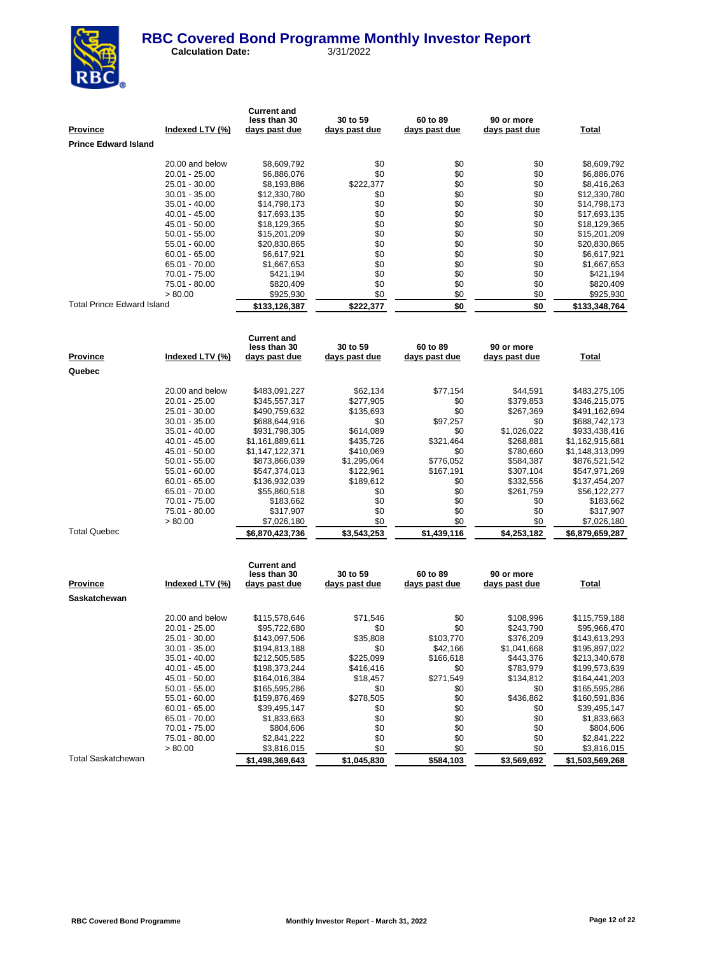

 **Calculation Date:** 3/31/2022

| <u>Province</u><br><b>Prince Edward Island</b> | Indexed LTV (%)                  | <b>Current and</b><br>less than 30<br><u>days past due</u> | 30 to 59<br><u>days past due</u> | 60 to 89<br>days past due | 90 or more<br>days past due | <b>Total</b>                   |
|------------------------------------------------|----------------------------------|------------------------------------------------------------|----------------------------------|---------------------------|-----------------------------|--------------------------------|
|                                                |                                  |                                                            |                                  |                           |                             |                                |
|                                                | 20.00 and below                  | \$8,609,792                                                | \$0                              | \$0                       | \$0                         | \$8,609,792                    |
|                                                | 20.01 - 25.00                    | \$6,886,076                                                | \$0                              | \$0                       | \$0                         | \$6,886,076                    |
|                                                | 25.01 - 30.00                    | \$8,193,886                                                | \$222,377                        | \$0                       | \$0                         | \$8,416,263                    |
|                                                | 30.01 - 35.00                    | \$12,330,780                                               | \$0                              | \$0                       | \$0                         | \$12,330,780                   |
|                                                | 35.01 - 40.00                    | \$14,798,173                                               | \$0                              | \$0                       | \$0                         | \$14,798,173                   |
|                                                | 40.01 - 45.00                    | \$17,693,135                                               | \$0                              | \$0                       | \$0                         | \$17,693,135                   |
|                                                | 45.01 - 50.00                    | \$18,129,365                                               | \$0                              | \$0                       | \$0                         | \$18,129,365                   |
|                                                | $50.01 - 55.00$                  | \$15,201,209                                               | \$0                              | \$0                       | \$0                         | \$15,201,209                   |
|                                                | 55.01 - 60.00                    | \$20,830,865                                               | \$0                              | \$0                       | \$0                         | \$20,830,865                   |
|                                                | $60.01 - 65.00$                  | \$6,617,921                                                | \$0                              | \$0                       | \$0                         | \$6,617,921                    |
|                                                | 65.01 - 70.00<br>70.01 - 75.00   | \$1,667,653                                                | \$0<br>\$0                       | \$0<br>\$0                | \$0<br>\$0                  | \$1,667,653                    |
|                                                | 75.01 - 80.00                    | \$421,194<br>\$820,409                                     | \$0                              | \$0                       | \$0                         | \$421,194<br>\$820,409         |
|                                                | > 80.00                          | \$925,930                                                  | \$0                              | \$0                       | \$0                         | \$925,930                      |
| <b>Total Prince Edward Island</b>              |                                  | \$133,126,387                                              | \$222,377                        | \$0                       | \$0                         | \$133,348,764                  |
|                                                |                                  |                                                            |                                  |                           |                             |                                |
|                                                |                                  | <b>Current and</b><br>less than 30                         | 30 to 59                         | 60 to 89                  | 90 or more                  |                                |
| <u>Province</u>                                | Indexed LTV (%)                  | <u>days past due</u>                                       | days past due                    | days past due             | days past due               | <b>Total</b>                   |
| Quebec                                         |                                  |                                                            |                                  |                           |                             |                                |
|                                                |                                  |                                                            |                                  |                           |                             |                                |
|                                                | 20.00 and below<br>20.01 - 25.00 | \$483,091,227                                              | \$62,134<br>\$277,905            | \$77,154<br>\$0           | \$44,591<br>\$379,853       | \$483,275,105                  |
|                                                | 25.01 - 30.00                    | \$345,557,317<br>\$490,759,632                             | \$135,693                        | \$0                       | \$267,369                   | \$346,215,075<br>\$491,162,694 |
|                                                | $30.01 - 35.00$                  | \$688,644,916                                              | \$0                              | \$97,257                  | \$0                         | \$688,742,173                  |
|                                                | 35.01 - 40.00                    | \$931,798,305                                              | \$614,089                        | \$0                       | \$1,026,022                 | \$933,438,416                  |
|                                                | 40.01 - 45.00                    | \$1,161,889,611                                            | \$435,726                        | \$321,464                 | \$268,881                   | \$1,162,915,681                |
|                                                | 45.01 - 50.00                    | \$1,147,122,371                                            | \$410,069                        | \$0                       | \$780,660                   | \$1,148,313,099                |
|                                                | $50.01 - 55.00$                  | \$873,866,039                                              | \$1,295,064                      | \$776,052                 | \$584,387                   | \$876,521,542                  |
|                                                | 55.01 - 60.00                    | \$547,374,013                                              | \$122,961                        | \$167,191                 | \$307,104                   | \$547,971,269                  |
|                                                | $60.01 - 65.00$                  | \$136,932,039                                              | \$189,612                        | \$0                       | \$332,556                   | \$137,454,207                  |
|                                                | 65.01 - 70.00                    | \$55,860,518                                               | \$0                              | \$0                       | \$261,759                   | \$56,122,277                   |
|                                                | 70.01 - 75.00                    | \$183,662                                                  | \$0                              | \$0                       | \$0                         | \$183,662                      |
|                                                | 75.01 - 80.00                    | \$317,907                                                  | \$0                              | \$0                       | \$0                         | \$317,907                      |
|                                                | > 80.00                          | \$7,026,180                                                | \$0                              | \$0                       | \$0                         | \$7,026,180                    |
| <b>Total Quebec</b>                            |                                  | \$6,870,423,736                                            | \$3,543,253                      | \$1,439,116               | \$4,253,182                 | \$6,879,659,287                |
|                                                |                                  |                                                            |                                  |                           |                             |                                |
|                                                |                                  | <b>Current and</b><br>less than 30                         | 30 to 59                         | 60 to 89                  | 90 or more                  |                                |
| Province                                       | Indexed LTV (%)                  | days past due                                              | days past due                    | days past due             | days past due               | Total                          |
| Saskatchewan                                   |                                  |                                                            |                                  |                           |                             |                                |
|                                                |                                  |                                                            |                                  |                           |                             |                                |
|                                                | 20.00 and below                  | \$115,578,646                                              | \$71,546                         | \$0                       | \$108,996                   | \$115,759,188                  |
|                                                | 20.01 - 25.00                    | \$95,722,680                                               | \$0                              | \$0                       | \$243,790                   | \$95,966,470                   |
|                                                | 25.01 - 30.00                    | \$143,097,506                                              | \$35,808                         | \$103,770                 | \$376,209                   | \$143,613,293                  |
|                                                | $30.01 - 35.00$                  | \$194,813,188                                              | \$0                              | \$42,166                  | \$1,041,668                 | \$195,897,022                  |
|                                                | 35.01 - 40.00                    | \$212,505,585                                              | \$225,099                        | \$166,618                 | \$443,376                   | \$213,340,678                  |
|                                                | 40.01 - 45.00                    | \$198,373,244                                              | \$416,416                        | \$0                       | \$783,979                   | \$199,573,639                  |
|                                                | 45.01 - 50.00                    | \$164,016,384                                              | \$18,457                         | \$271,549<br>\$0          | \$134,812                   | \$164,441,203                  |
|                                                | $50.01 - 55.00$<br>55.01 - 60.00 | \$165,595,286<br>\$159,876,469                             | \$0<br>\$278,505                 | \$0                       | \$0<br>\$436,862            | \$165,595,286<br>\$160,591,836 |
|                                                | $60.01 - 65.00$                  | \$39,495,147                                               | \$0                              | \$0                       | \$0                         | \$39,495,147                   |
|                                                | 65.01 - 70.00                    | \$1,833,663                                                | \$0                              | \$0                       | \$0                         | \$1,833,663                    |

Total Saskatchewan **\$1,498,369,643 \$1,045,830 \$584,103 \$3,569,692 \$1,503,569,268**

 $$3,816,015$ 

70.01 - 75.00 \$804,606 \$80 \$0 \$0 \$0 \$804,606  $75.01 - 80.00$   $$2,841,222$  \$0 \$0 \$2,841,222<br>  $>80.00$   $$3,816,015$   $$0$   $$0$   $$0$   $$0$   $$2,841,222$ <br>  $>80.00$   $$3,816,015$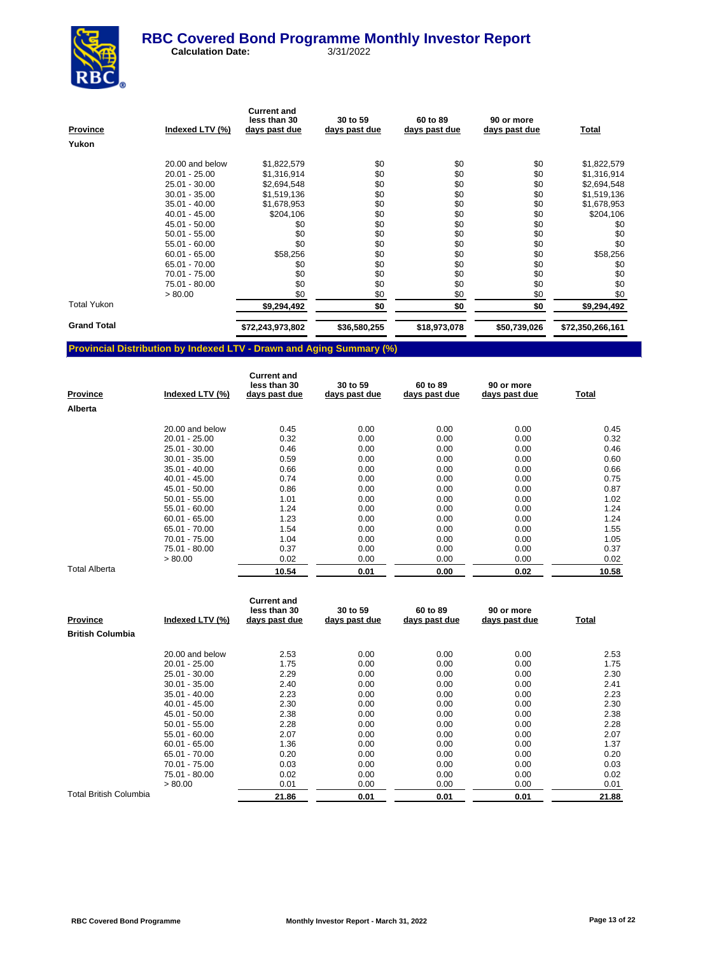

 **Calculation Date:** 3/31/2022

| <b>Province</b>    | Indexed LTV (%) | <b>Current and</b><br>less than 30<br>days past due | 30 to 59<br>days past due | 60 to 89<br>days past due | 90 or more<br>days past due | <b>Total</b>     |
|--------------------|-----------------|-----------------------------------------------------|---------------------------|---------------------------|-----------------------------|------------------|
| Yukon              |                 |                                                     |                           |                           |                             |                  |
|                    | 20.00 and below | \$1,822,579                                         | \$0                       | \$0                       | \$0                         | \$1,822,579      |
|                    | $20.01 - 25.00$ | \$1,316,914                                         | \$0                       | \$0                       | \$0                         | \$1,316,914      |
|                    | 25.01 - 30.00   | \$2,694,548                                         | \$0                       | \$0                       | \$0                         | \$2,694,548      |
|                    | $30.01 - 35.00$ | \$1,519,136                                         | \$0                       | \$0                       | \$0                         | \$1,519,136      |
|                    | $35.01 - 40.00$ | \$1,678,953                                         | \$0                       | \$0                       | \$0                         | \$1,678,953      |
|                    | $40.01 - 45.00$ | \$204,106                                           | \$0                       | \$0                       | \$0                         | \$204,106        |
|                    | 45.01 - 50.00   | \$0                                                 | \$0                       | \$0                       | \$0                         | \$0              |
|                    | $50.01 - 55.00$ | \$0                                                 | \$0                       | \$0                       | \$0                         | \$0              |
|                    | $55.01 - 60.00$ | \$0                                                 | \$0                       | \$0                       | \$0                         | \$0              |
|                    | $60.01 - 65.00$ | \$58,256                                            | \$0                       | \$0                       | \$0                         | \$58,256         |
|                    | 65.01 - 70.00   | \$0                                                 | \$0                       | \$0                       | \$0                         | \$0              |
|                    | 70.01 - 75.00   | \$0                                                 | \$0                       | \$0                       | \$0                         | \$0              |
|                    | 75.01 - 80.00   | \$0                                                 | \$0                       | \$0                       | \$0                         | \$0              |
|                    | > 80.00         | \$0                                                 | \$0                       | \$0                       | \$0                         | \$0              |
| <b>Total Yukon</b> |                 | \$9,294,492                                         | \$0                       | \$0                       | \$0                         | \$9,294,492      |
| <b>Grand Total</b> |                 | \$72,243,973,802                                    | \$36,580,255              | \$18,973,078              | \$50,739,026                | \$72,350,266,161 |

### **Provincial Distribution by Indexed LTV - Drawn and Aging Summary (%)**

| <b>Province</b>      | Indexed LTV (%) | <b>Current and</b><br>less than 30<br>days past due | 30 to 59<br>days past due | 60 to 89<br>days past due | 90 or more<br>days past due | Total |
|----------------------|-----------------|-----------------------------------------------------|---------------------------|---------------------------|-----------------------------|-------|
| Alberta              |                 |                                                     |                           |                           |                             |       |
|                      | 20.00 and below | 0.45                                                | 0.00                      | 0.00                      | 0.00                        | 0.45  |
|                      | $20.01 - 25.00$ | 0.32                                                | 0.00                      | 0.00                      | 0.00                        | 0.32  |
|                      | 25.01 - 30.00   | 0.46                                                | 0.00                      | 0.00                      | 0.00                        | 0.46  |
|                      | $30.01 - 35.00$ | 0.59                                                | 0.00                      | 0.00                      | 0.00                        | 0.60  |
|                      | $35.01 - 40.00$ | 0.66                                                | 0.00                      | 0.00                      | 0.00                        | 0.66  |
|                      | $40.01 - 45.00$ | 0.74                                                | 0.00                      | 0.00                      | 0.00                        | 0.75  |
|                      | 45.01 - 50.00   | 0.86                                                | 0.00                      | 0.00                      | 0.00                        | 0.87  |
|                      | $50.01 - 55.00$ | 1.01                                                | 0.00                      | 0.00                      | 0.00                        | 1.02  |
|                      | 55.01 - 60.00   | 1.24                                                | 0.00                      | 0.00                      | 0.00                        | 1.24  |
|                      | $60.01 - 65.00$ | 1.23                                                | 0.00                      | 0.00                      | 0.00                        | 1.24  |
|                      | 65.01 - 70.00   | 1.54                                                | 0.00                      | 0.00                      | 0.00                        | 1.55  |
|                      | 70.01 - 75.00   | 1.04                                                | 0.00                      | 0.00                      | 0.00                        | 1.05  |
|                      | 75.01 - 80.00   | 0.37                                                | 0.00                      | 0.00                      | 0.00                        | 0.37  |
|                      | > 80.00         | 0.02                                                | 0.00                      | 0.00                      | 0.00                        | 0.02  |
| <b>Total Alberta</b> |                 | 10.54                                               | 0.01                      | 0.00                      | 0.02                        | 10.58 |

| <b>Province</b>         | Indexed LTV (%) | <b>Current and</b><br>less than 30<br>days past due | 30 to 59<br>days past due | 60 to 89<br>days past due | 90 or more<br>days past due | <u>Total</u> |
|-------------------------|-----------------|-----------------------------------------------------|---------------------------|---------------------------|-----------------------------|--------------|
| <b>British Columbia</b> |                 |                                                     |                           |                           |                             |              |
|                         | 20.00 and below | 2.53                                                | 0.00                      | 0.00                      | 0.00                        | 2.53         |
|                         | $20.01 - 25.00$ | 1.75                                                | 0.00                      | 0.00                      | 0.00                        | 1.75         |
|                         | 25.01 - 30.00   | 2.29                                                | 0.00                      | 0.00                      | 0.00                        | 2.30         |
|                         | $30.01 - 35.00$ | 2.40                                                | 0.00                      | 0.00                      | 0.00                        | 2.41         |
|                         | $35.01 - 40.00$ | 2.23                                                | 0.00                      | 0.00                      | 0.00                        | 2.23         |
|                         | $40.01 - 45.00$ | 2.30                                                | 0.00                      | 0.00                      | 0.00                        | 2.30         |
|                         | 45.01 - 50.00   | 2.38                                                | 0.00                      | 0.00                      | 0.00                        | 2.38         |
|                         | $50.01 - 55.00$ | 2.28                                                | 0.00                      | 0.00                      | 0.00                        | 2.28         |
|                         | $55.01 - 60.00$ | 2.07                                                | 0.00                      | 0.00                      | 0.00                        | 2.07         |
|                         | $60.01 - 65.00$ | 1.36                                                | 0.00                      | 0.00                      | 0.00                        | 1.37         |
|                         | 65.01 - 70.00   | 0.20                                                | 0.00                      | 0.00                      | 0.00                        | 0.20         |
|                         | 70.01 - 75.00   | 0.03                                                | 0.00                      | 0.00                      | 0.00                        | 0.03         |
|                         | 75.01 - 80.00   | 0.02                                                | 0.00                      | 0.00                      | 0.00                        | 0.02         |
|                         | > 80.00         | 0.01                                                | 0.00                      | 0.00                      | 0.00                        | 0.01         |
| Total British Columbia  |                 | 21.86                                               | 0.01                      | 0.01                      | 0.01                        | 21.88        |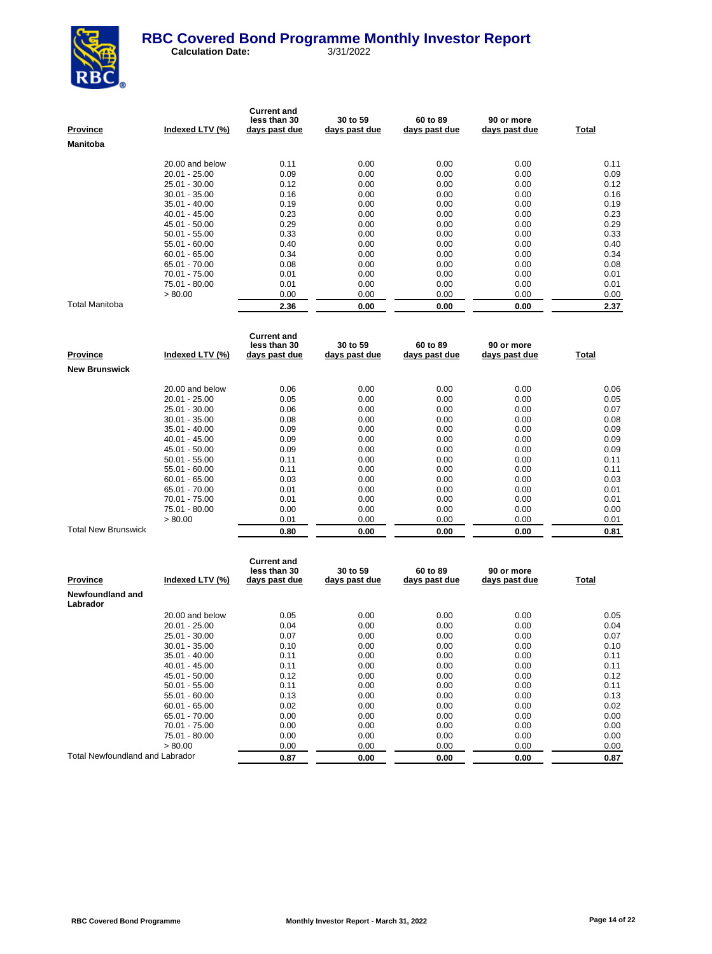

| <b>Province</b> | Indexed LTV (%) | <b>Current and</b><br>less than 30<br>days past due | 30 to 59<br>days past due | 60 to 89<br>days past due | 90 or more<br>days past due | Total |
|-----------------|-----------------|-----------------------------------------------------|---------------------------|---------------------------|-----------------------------|-------|
| Manitoba        |                 |                                                     |                           |                           |                             |       |
|                 | 20.00 and below | 0.11                                                | 0.00                      | 0.00                      | 0.00                        | 0.11  |
|                 | $20.01 - 25.00$ | 0.09                                                | 0.00                      | 0.00                      | 0.00                        | 0.09  |
|                 | 25.01 - 30.00   | 0.12                                                | 0.00                      | 0.00                      | 0.00                        | 0.12  |
|                 | $30.01 - 35.00$ | 0.16                                                | 0.00                      | 0.00                      | 0.00                        | 0.16  |
|                 | $35.01 - 40.00$ | 0.19                                                | 0.00                      | 0.00                      | 0.00                        | 0.19  |
|                 | $40.01 - 45.00$ | 0.23                                                | 0.00                      | 0.00                      | 0.00                        | 0.23  |
|                 | 45.01 - 50.00   | 0.29                                                | 0.00                      | 0.00                      | 0.00                        | 0.29  |
|                 | $50.01 - 55.00$ | 0.33                                                | 0.00                      | 0.00                      | 0.00                        | 0.33  |
|                 | $55.01 - 60.00$ | 0.40                                                | 0.00                      | 0.00                      | 0.00                        | 0.40  |
|                 | $60.01 - 65.00$ | 0.34                                                | 0.00                      | 0.00                      | 0.00                        | 0.34  |
|                 | 65.01 - 70.00   | 0.08                                                | 0.00                      | 0.00                      | 0.00                        | 0.08  |
|                 | 70.01 - 75.00   | 0.01                                                | 0.00                      | 0.00                      | 0.00                        | 0.01  |
|                 | 75.01 - 80.00   | 0.01                                                | 0.00                      | 0.00                      | 0.00                        | 0.01  |
|                 | > 80.00         | 0.00                                                | 0.00                      | 0.00                      | 0.00                        | 0.00  |
| Total Manitoba  |                 | 2.36                                                | 0.00                      | 0.00                      | 0.00                        | 2.37  |

| Province                   | Indexed LTV (%) | <b>Current and</b><br>less than 30<br>days past due | 30 to 59<br>days past due | 60 to 89<br>days past due | 90 or more<br>days past due | Total |
|----------------------------|-----------------|-----------------------------------------------------|---------------------------|---------------------------|-----------------------------|-------|
| <b>New Brunswick</b>       |                 |                                                     |                           |                           |                             |       |
|                            | 20.00 and below | 0.06                                                | 0.00                      | 0.00                      | 0.00                        | 0.06  |
|                            | $20.01 - 25.00$ | 0.05                                                | 0.00                      | 0.00                      | 0.00                        | 0.05  |
|                            | 25.01 - 30.00   | 0.06                                                | 0.00                      | 0.00                      | 0.00                        | 0.07  |
|                            | $30.01 - 35.00$ | 0.08                                                | 0.00                      | 0.00                      | 0.00                        | 0.08  |
|                            | $35.01 - 40.00$ | 0.09                                                | 0.00                      | 0.00                      | 0.00                        | 0.09  |
|                            | $40.01 - 45.00$ | 0.09                                                | 0.00                      | 0.00                      | 0.00                        | 0.09  |
|                            | 45.01 - 50.00   | 0.09                                                | 0.00                      | 0.00                      | 0.00                        | 0.09  |
|                            | $50.01 - 55.00$ | 0.11                                                | 0.00                      | 0.00                      | 0.00                        | 0.11  |
|                            | $55.01 - 60.00$ | 0.11                                                | 0.00                      | 0.00                      | 0.00                        | 0.11  |
|                            | $60.01 - 65.00$ | 0.03                                                | 0.00                      | 0.00                      | 0.00                        | 0.03  |
|                            | 65.01 - 70.00   | 0.01                                                | 0.00                      | 0.00                      | 0.00                        | 0.01  |
|                            | 70.01 - 75.00   | 0.01                                                | 0.00                      | 0.00                      | 0.00                        | 0.01  |
|                            | 75.01 - 80.00   | 0.00                                                | 0.00                      | 0.00                      | 0.00                        | 0.00  |
|                            | > 80.00         | 0.01                                                | 0.00                      | 0.00                      | 0.00                        | 0.01  |
| <b>Total New Brunswick</b> |                 | 0.80                                                | 0.00                      | 0.00                      | 0.00                        | 0.81  |

| <b>Province</b>                        | Indexed LTV (%) | <b>Current and</b><br>less than 30<br>days past due | 30 to 59<br>days past due | 60 to 89<br>days past due | 90 or more<br>days past due | Total |
|----------------------------------------|-----------------|-----------------------------------------------------|---------------------------|---------------------------|-----------------------------|-------|
| Newfoundland and<br>Labrador           |                 |                                                     |                           |                           |                             |       |
|                                        | 20.00 and below | 0.05                                                | 0.00                      | 0.00                      | 0.00                        | 0.05  |
|                                        | $20.01 - 25.00$ | 0.04                                                | 0.00                      | 0.00                      | 0.00                        | 0.04  |
|                                        | $25.01 - 30.00$ | 0.07                                                | 0.00                      | 0.00                      | 0.00                        | 0.07  |
|                                        | $30.01 - 35.00$ | 0.10                                                | 0.00                      | 0.00                      | 0.00                        | 0.10  |
|                                        | $35.01 - 40.00$ | 0.11                                                | 0.00                      | 0.00                      | 0.00                        | 0.11  |
|                                        | $40.01 - 45.00$ | 0.11                                                | 0.00                      | 0.00                      | 0.00                        | 0.11  |
|                                        | 45.01 - 50.00   | 0.12                                                | 0.00                      | 0.00                      | 0.00                        | 0.12  |
|                                        | $50.01 - 55.00$ | 0.11                                                | 0.00                      | 0.00                      | 0.00                        | 0.11  |
|                                        | $55.01 - 60.00$ | 0.13                                                | 0.00                      | 0.00                      | 0.00                        | 0.13  |
|                                        | $60.01 - 65.00$ | 0.02                                                | 0.00                      | 0.00                      | 0.00                        | 0.02  |
|                                        | 65.01 - 70.00   | 0.00                                                | 0.00                      | 0.00                      | 0.00                        | 0.00  |
|                                        | 70.01 - 75.00   | 0.00                                                | 0.00                      | 0.00                      | 0.00                        | 0.00  |
|                                        | 75.01 - 80.00   | 0.00                                                | 0.00                      | 0.00                      | 0.00                        | 0.00  |
|                                        | > 80.00         | 0.00                                                | 0.00                      | 0.00                      | 0.00                        | 0.00  |
| <b>Total Newfoundland and Labrador</b> |                 | 0.87                                                | 0.00                      | 0.00                      | 0.00                        | 0.87  |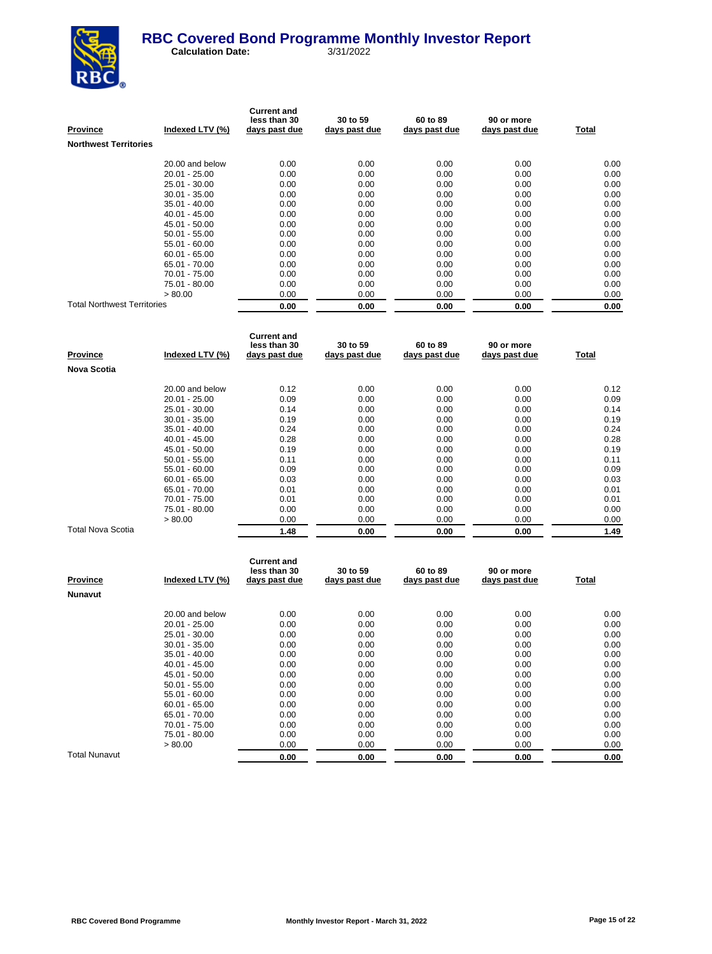

| <b>Province</b>                    | Indexed LTV (%) | <b>Current and</b><br>less than 30<br>days past due | 30 to 59<br>days past due | 60 to 89<br>days past due | 90 or more<br>days past due | Total |
|------------------------------------|-----------------|-----------------------------------------------------|---------------------------|---------------------------|-----------------------------|-------|
| <b>Northwest Territories</b>       |                 |                                                     |                           |                           |                             |       |
|                                    | 20.00 and below | 0.00                                                | 0.00                      | 0.00                      | 0.00                        | 0.00  |
|                                    | $20.01 - 25.00$ | 0.00                                                | 0.00                      | 0.00                      | 0.00                        | 0.00  |
|                                    | $25.01 - 30.00$ | 0.00                                                | 0.00                      | 0.00                      | 0.00                        | 0.00  |
|                                    | $30.01 - 35.00$ | 0.00                                                | 0.00                      | 0.00                      | 0.00                        | 0.00  |
|                                    | $35.01 - 40.00$ | 0.00                                                | 0.00                      | 0.00                      | 0.00                        | 0.00  |
|                                    | $40.01 - 45.00$ | 0.00                                                | 0.00                      | 0.00                      | 0.00                        | 0.00  |
|                                    | 45.01 - 50.00   | 0.00                                                | 0.00                      | 0.00                      | 0.00                        | 0.00  |
|                                    | $50.01 - 55.00$ | 0.00                                                | 0.00                      | 0.00                      | 0.00                        | 0.00  |
|                                    | 55.01 - 60.00   | 0.00                                                | 0.00                      | 0.00                      | 0.00                        | 0.00  |
|                                    | $60.01 - 65.00$ | 0.00                                                | 0.00                      | 0.00                      | 0.00                        | 0.00  |
|                                    | 65.01 - 70.00   | 0.00                                                | 0.00                      | 0.00                      | 0.00                        | 0.00  |
|                                    | 70.01 - 75.00   | 0.00                                                | 0.00                      | 0.00                      | 0.00                        | 0.00  |
|                                    | 75.01 - 80.00   | 0.00                                                | 0.00                      | 0.00                      | 0.00                        | 0.00  |
|                                    | > 80.00         | 0.00                                                | 0.00                      | 0.00                      | 0.00                        | 0.00  |
| <b>Total Northwest Territories</b> |                 | 0.00                                                | 0.00                      | 0.00                      | 0.00                        | 0.00  |

| <b>Province</b>    | Indexed LTV (%) | <b>Current and</b><br>less than 30<br>days past due | 30 to 59<br>days past due | 60 to 89<br>days past due | 90 or more<br>days past due | Total |
|--------------------|-----------------|-----------------------------------------------------|---------------------------|---------------------------|-----------------------------|-------|
| <b>Nova Scotia</b> |                 |                                                     |                           |                           |                             |       |
|                    | 20.00 and below | 0.12                                                | 0.00                      | 0.00                      | 0.00                        | 0.12  |
|                    | $20.01 - 25.00$ | 0.09                                                | 0.00                      | 0.00                      | 0.00                        | 0.09  |
|                    | 25.01 - 30.00   | 0.14                                                | 0.00                      | 0.00                      | 0.00                        | 0.14  |
|                    | $30.01 - 35.00$ | 0.19                                                | 0.00                      | 0.00                      | 0.00                        | 0.19  |
|                    | $35.01 - 40.00$ | 0.24                                                | 0.00                      | 0.00                      | 0.00                        | 0.24  |
|                    | $40.01 - 45.00$ | 0.28                                                | 0.00                      | 0.00                      | 0.00                        | 0.28  |
|                    | 45.01 - 50.00   | 0.19                                                | 0.00                      | 0.00                      | 0.00                        | 0.19  |
|                    | $50.01 - 55.00$ | 0.11                                                | 0.00                      | 0.00                      | 0.00                        | 0.11  |
|                    | $55.01 - 60.00$ | 0.09                                                | 0.00                      | 0.00                      | 0.00                        | 0.09  |
|                    | $60.01 - 65.00$ | 0.03                                                | 0.00                      | 0.00                      | 0.00                        | 0.03  |
|                    | 65.01 - 70.00   | 0.01                                                | 0.00                      | 0.00                      | 0.00                        | 0.01  |
|                    | 70.01 - 75.00   | 0.01                                                | 0.00                      | 0.00                      | 0.00                        | 0.01  |
|                    | 75.01 - 80.00   | 0.00                                                | 0.00                      | 0.00                      | 0.00                        | 0.00  |
|                    | > 80.00         | 0.00                                                | 0.00                      | 0.00                      | 0.00                        | 0.00  |
| Total Nova Scotia  |                 | 1.48                                                | 0.00                      | 0.00                      | 0.00                        | 1.49  |

| <b>Province</b> | Indexed LTV (%) | <b>Current and</b><br>less than 30<br>days past due | 30 to 59<br>days past due | 60 to 89<br>days past due | 90 or more<br>days past due | <u>Total</u> |
|-----------------|-----------------|-----------------------------------------------------|---------------------------|---------------------------|-----------------------------|--------------|
| Nunavut         |                 |                                                     |                           |                           |                             |              |
|                 | 20.00 and below | 0.00                                                | 0.00                      | 0.00                      | 0.00                        | 0.00         |
|                 | $20.01 - 25.00$ | 0.00                                                | 0.00                      | 0.00                      | 0.00                        | 0.00         |
|                 | 25.01 - 30.00   | 0.00                                                | 0.00                      | 0.00                      | 0.00                        | 0.00         |
|                 | $30.01 - 35.00$ | 0.00                                                | 0.00                      | 0.00                      | 0.00                        | 0.00         |
|                 | $35.01 - 40.00$ | 0.00                                                | 0.00                      | 0.00                      | 0.00                        | 0.00         |
|                 | $40.01 - 45.00$ | 0.00                                                | 0.00                      | 0.00                      | 0.00                        | 0.00         |
|                 | 45.01 - 50.00   | 0.00                                                | 0.00                      | 0.00                      | 0.00                        | 0.00         |
|                 | $50.01 - 55.00$ | 0.00                                                | 0.00                      | 0.00                      | 0.00                        | 0.00         |
|                 | $55.01 - 60.00$ | 0.00                                                | 0.00                      | 0.00                      | 0.00                        | 0.00         |
|                 | $60.01 - 65.00$ | 0.00                                                | 0.00                      | 0.00                      | 0.00                        | 0.00         |
|                 | 65.01 - 70.00   | 0.00                                                | 0.00                      | 0.00                      | 0.00                        | 0.00         |
|                 | 70.01 - 75.00   | 0.00                                                | 0.00                      | 0.00                      | 0.00                        | 0.00         |
|                 | 75.01 - 80.00   | 0.00                                                | 0.00                      | 0.00                      | 0.00                        | 0.00         |
|                 | > 80.00         | 0.00                                                | 0.00                      | 0.00                      | 0.00                        | 0.00         |
| Total Nunavut   |                 | 0.00                                                | 0.00                      | 0.00                      | 0.00                        | 0.00         |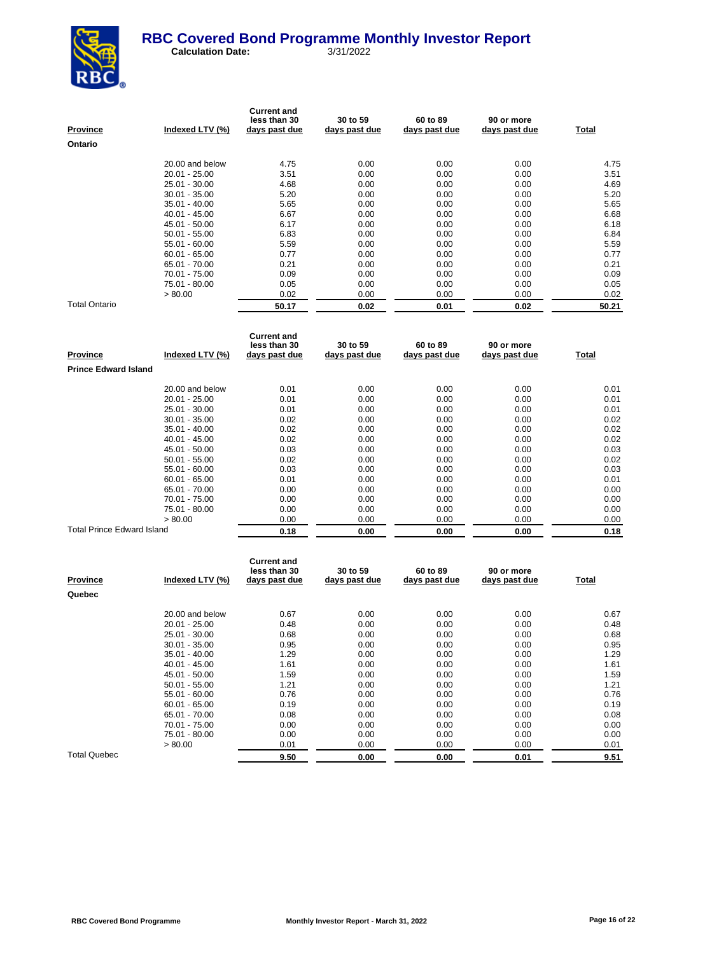

| Province             | Indexed LTV (%) | <b>Current and</b><br>less than 30<br>days past due | 30 to 59<br>days past due | 60 to 89<br>days past due | 90 or more<br>days past due | Total |
|----------------------|-----------------|-----------------------------------------------------|---------------------------|---------------------------|-----------------------------|-------|
| Ontario              |                 |                                                     |                           |                           |                             |       |
|                      | 20.00 and below | 4.75                                                | 0.00                      | 0.00                      | 0.00                        | 4.75  |
|                      | $20.01 - 25.00$ | 3.51                                                | 0.00                      | 0.00                      | 0.00                        | 3.51  |
|                      | 25.01 - 30.00   | 4.68                                                | 0.00                      | 0.00                      | 0.00                        | 4.69  |
|                      | $30.01 - 35.00$ | 5.20                                                | 0.00                      | 0.00                      | 0.00                        | 5.20  |
|                      | $35.01 - 40.00$ | 5.65                                                | 0.00                      | 0.00                      | 0.00                        | 5.65  |
|                      | $40.01 - 45.00$ | 6.67                                                | 0.00                      | 0.00                      | 0.00                        | 6.68  |
|                      | 45.01 - 50.00   | 6.17                                                | 0.00                      | 0.00                      | 0.00                        | 6.18  |
|                      | $50.01 - 55.00$ | 6.83                                                | 0.00                      | 0.00                      | 0.00                        | 6.84  |
|                      | $55.01 - 60.00$ | 5.59                                                | 0.00                      | 0.00                      | 0.00                        | 5.59  |
|                      | $60.01 - 65.00$ | 0.77                                                | 0.00                      | 0.00                      | 0.00                        | 0.77  |
|                      | 65.01 - 70.00   | 0.21                                                | 0.00                      | 0.00                      | 0.00                        | 0.21  |
|                      | 70.01 - 75.00   | 0.09                                                | 0.00                      | 0.00                      | 0.00                        | 0.09  |
|                      | 75.01 - 80.00   | 0.05                                                | 0.00                      | 0.00                      | 0.00                        | 0.05  |
|                      | > 80.00         | 0.02                                                | 0.00                      | 0.00                      | 0.00                        | 0.02  |
| <b>Total Ontario</b> |                 | 50.17                                               | 0.02                      | 0.01                      | 0.02                        | 50.21 |

| <b>Province</b>                   | Indexed LTV (%) | <b>Current and</b><br>less than 30<br>days past due | 30 to 59<br>days past due | 60 to 89<br>days past due | 90 or more<br>days past due | Total |
|-----------------------------------|-----------------|-----------------------------------------------------|---------------------------|---------------------------|-----------------------------|-------|
| <b>Prince Edward Island</b>       |                 |                                                     |                           |                           |                             |       |
|                                   | 20.00 and below | 0.01                                                | 0.00                      | 0.00                      | 0.00                        | 0.01  |
|                                   | $20.01 - 25.00$ | 0.01                                                | 0.00                      | 0.00                      | 0.00                        | 0.01  |
|                                   | 25.01 - 30.00   | 0.01                                                | 0.00                      | 0.00                      | 0.00                        | 0.01  |
|                                   | $30.01 - 35.00$ | 0.02                                                | 0.00                      | 0.00                      | 0.00                        | 0.02  |
|                                   | $35.01 - 40.00$ | 0.02                                                | 0.00                      | 0.00                      | 0.00                        | 0.02  |
|                                   | $40.01 - 45.00$ | 0.02                                                | 0.00                      | 0.00                      | 0.00                        | 0.02  |
|                                   | 45.01 - 50.00   | 0.03                                                | 0.00                      | 0.00                      | 0.00                        | 0.03  |
|                                   | $50.01 - 55.00$ | 0.02                                                | 0.00                      | 0.00                      | 0.00                        | 0.02  |
|                                   | 55.01 - 60.00   | 0.03                                                | 0.00                      | 0.00                      | 0.00                        | 0.03  |
|                                   | $60.01 - 65.00$ | 0.01                                                | 0.00                      | 0.00                      | 0.00                        | 0.01  |
|                                   | 65.01 - 70.00   | 0.00                                                | 0.00                      | 0.00                      | 0.00                        | 0.00  |
|                                   | 70.01 - 75.00   | 0.00                                                | 0.00                      | 0.00                      | 0.00                        | 0.00  |
|                                   | 75.01 - 80.00   | 0.00                                                | 0.00                      | 0.00                      | 0.00                        | 0.00  |
|                                   | > 80.00         | 0.00                                                | 0.00                      | 0.00                      | 0.00                        | 0.00  |
| <b>Total Prince Edward Island</b> |                 | 0.18                                                | 0.00                      | 0.00                      | 0.00                        | 0.18  |

| <b>Province</b>     | Indexed LTV (%) | <b>Current and</b><br>less than 30<br>days past due | 30 to 59<br>days past due | 60 to 89<br>days past due | 90 or more<br>days past due | Total |
|---------------------|-----------------|-----------------------------------------------------|---------------------------|---------------------------|-----------------------------|-------|
| Quebec              |                 |                                                     |                           |                           |                             |       |
|                     | 20.00 and below | 0.67                                                | 0.00                      | 0.00                      | 0.00                        | 0.67  |
|                     | 20.01 - 25.00   | 0.48                                                | 0.00                      | 0.00                      | 0.00                        | 0.48  |
|                     | 25.01 - 30.00   | 0.68                                                | 0.00                      | 0.00                      | 0.00                        | 0.68  |
|                     | $30.01 - 35.00$ | 0.95                                                | 0.00                      | 0.00                      | 0.00                        | 0.95  |
|                     | $35.01 - 40.00$ | 1.29                                                | 0.00                      | 0.00                      | 0.00                        | 1.29  |
|                     | $40.01 - 45.00$ | 1.61                                                | 0.00                      | 0.00                      | 0.00                        | 1.61  |
|                     | 45.01 - 50.00   | 1.59                                                | 0.00                      | 0.00                      | 0.00                        | 1.59  |
|                     | $50.01 - 55.00$ | 1.21                                                | 0.00                      | 0.00                      | 0.00                        | 1.21  |
|                     | $55.01 - 60.00$ | 0.76                                                | 0.00                      | 0.00                      | 0.00                        | 0.76  |
|                     | $60.01 - 65.00$ | 0.19                                                | 0.00                      | 0.00                      | 0.00                        | 0.19  |
|                     | 65.01 - 70.00   | 0.08                                                | 0.00                      | 0.00                      | 0.00                        | 0.08  |
|                     | 70.01 - 75.00   | 0.00                                                | 0.00                      | 0.00                      | 0.00                        | 0.00  |
|                     | 75.01 - 80.00   | 0.00                                                | 0.00                      | 0.00                      | 0.00                        | 0.00  |
|                     | > 80.00         | 0.01                                                | 0.00                      | 0.00                      | 0.00                        | 0.01  |
| <b>Total Quebec</b> |                 | 9.50                                                | 0.00                      | 0.00                      | 0.01                        | 9.51  |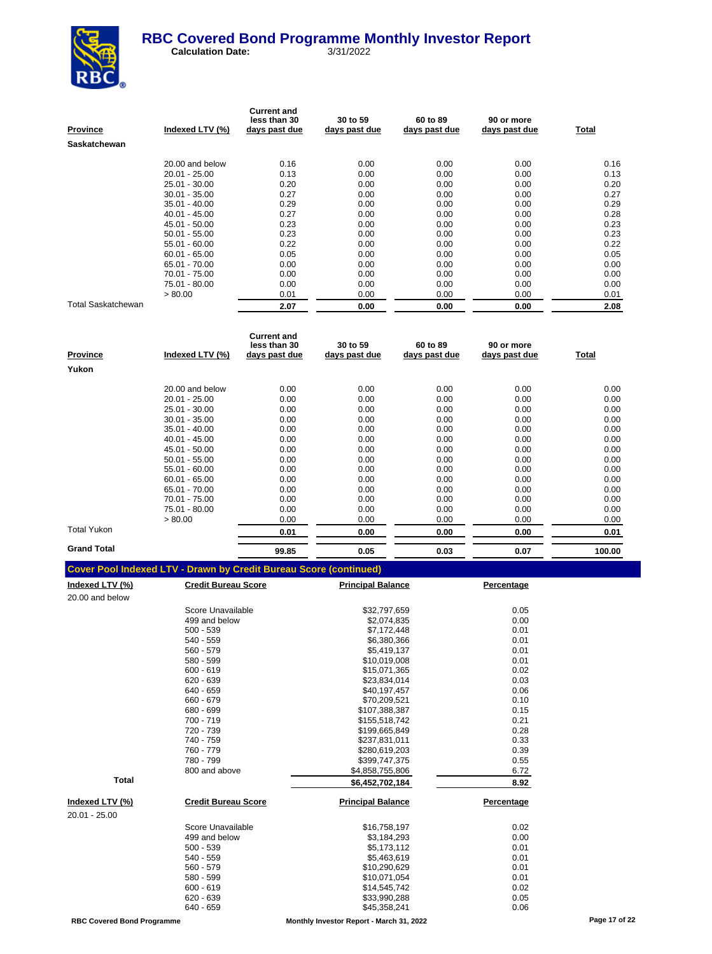

| Province           | Indexed LTV (%) | <b>Current and</b><br>less than 30<br>days past due | 30 to 59<br>days past due | 60 to 89<br>days past due | 90 or more<br>days past due | Total |
|--------------------|-----------------|-----------------------------------------------------|---------------------------|---------------------------|-----------------------------|-------|
| Saskatchewan       |                 |                                                     |                           |                           |                             |       |
|                    | 20.00 and below | 0.16                                                | 0.00                      | 0.00                      | 0.00                        | 0.16  |
|                    | $20.01 - 25.00$ | 0.13                                                | 0.00                      | 0.00                      | 0.00                        | 0.13  |
|                    | 25.01 - 30.00   | 0.20                                                | 0.00                      | 0.00                      | 0.00                        | 0.20  |
|                    | $30.01 - 35.00$ | 0.27                                                | 0.00                      | 0.00                      | 0.00                        | 0.27  |
|                    | $35.01 - 40.00$ | 0.29                                                | 0.00                      | 0.00                      | 0.00                        | 0.29  |
|                    | $40.01 - 45.00$ | 0.27                                                | 0.00                      | 0.00                      | 0.00                        | 0.28  |
|                    | 45.01 - 50.00   | 0.23                                                | 0.00                      | 0.00                      | 0.00                        | 0.23  |
|                    | $50.01 - 55.00$ | 0.23                                                | 0.00                      | 0.00                      | 0.00                        | 0.23  |
|                    | $55.01 - 60.00$ | 0.22                                                | 0.00                      | 0.00                      | 0.00                        | 0.22  |
|                    | $60.01 - 65.00$ | 0.05                                                | 0.00                      | 0.00                      | 0.00                        | 0.05  |
|                    | 65.01 - 70.00   | 0.00                                                | 0.00                      | 0.00                      | 0.00                        | 0.00  |
|                    | 70.01 - 75.00   | 0.00                                                | 0.00                      | 0.00                      | 0.00                        | 0.00  |
|                    | 75.01 - 80.00   | 0.00                                                | 0.00                      | 0.00                      | 0.00                        | 0.00  |
|                    | > 80.00         | 0.01                                                | 0.00                      | 0.00                      | 0.00                        | 0.01  |
| Total Saskatchewan |                 | 2.07                                                | 0.00                      | 0.00                      | 0.00                        | 2.08  |

| Province           | Indexed LTV (%) | <b>Current and</b><br>less than 30<br>days past due | 30 to 59<br>days past due | 60 to 89<br>days past due | 90 or more<br>days past due | Total  |
|--------------------|-----------------|-----------------------------------------------------|---------------------------|---------------------------|-----------------------------|--------|
| Yukon              |                 |                                                     |                           |                           |                             |        |
|                    | 20.00 and below | 0.00                                                | 0.00                      | 0.00                      | 0.00                        | 0.00   |
|                    | $20.01 - 25.00$ | 0.00                                                | 0.00                      | 0.00                      | 0.00                        | 0.00   |
|                    | 25.01 - 30.00   | 0.00                                                | 0.00                      | 0.00                      | 0.00                        | 0.00   |
|                    | $30.01 - 35.00$ | 0.00                                                | 0.00                      | 0.00                      | 0.00                        | 0.00   |
|                    | $35.01 - 40.00$ | 0.00                                                | 0.00                      | 0.00                      | 0.00                        | 0.00   |
|                    | $40.01 - 45.00$ | 0.00                                                | 0.00                      | 0.00                      | 0.00                        | 0.00   |
|                    | 45.01 - 50.00   | 0.00                                                | 0.00                      | 0.00                      | 0.00                        | 0.00   |
|                    | $50.01 - 55.00$ | 0.00                                                | 0.00                      | 0.00                      | 0.00                        | 0.00   |
|                    | $55.01 - 60.00$ | 0.00                                                | 0.00                      | 0.00                      | 0.00                        | 0.00   |
|                    | $60.01 - 65.00$ | 0.00                                                | 0.00                      | 0.00                      | 0.00                        | 0.00   |
|                    | 65.01 - 70.00   | 0.00                                                | 0.00                      | 0.00                      | 0.00                        | 0.00   |
|                    | 70.01 - 75.00   | 0.00                                                | 0.00                      | 0.00                      | 0.00                        | 0.00   |
|                    | 75.01 - 80.00   | 0.00                                                | 0.00                      | 0.00                      | 0.00                        | 0.00   |
|                    | > 80.00         | 0.00                                                | 0.00                      | 0.00                      | 0.00                        | 0.00   |
| Total Yukon        |                 | 0.01                                                | 0.00                      | 0.00                      | 0.00                        | 0.01   |
| <b>Grand Total</b> |                 | 99.85                                               | 0.05                      | 0.03                      | 0.07                        | 100.00 |

|  | <b>Cover Pool Indexed LTV - Drawn by Credit Bureau Score (continued)</b> |  |
|--|--------------------------------------------------------------------------|--|
|  |                                                                          |  |

| <u>Indexed LTV (%)</u> | <b>Credit Bureau Score</b> | <b>Principal Balance</b> | Percentage |
|------------------------|----------------------------|--------------------------|------------|
| 20.00 and below        |                            |                          |            |
|                        | Score Unavailable          | \$32,797,659             | 0.05       |
|                        | 499 and below              | \$2,074,835              | 0.00       |
|                        | $500 - 539$                | \$7,172,448              | 0.01       |
|                        | $540 - 559$                | \$6,380,366              | 0.01       |
|                        | 560 - 579                  | \$5,419,137              | 0.01       |
|                        | 580 - 599                  | \$10,019,008             | 0.01       |
|                        | $600 - 619$                | \$15,071,365             | 0.02       |
|                        | $620 - 639$                | \$23,834,014             | 0.03       |
|                        | 640 - 659                  | \$40,197,457             | 0.06       |
|                        | 660 - 679                  | \$70,209,521             | 0.10       |
|                        | 680 - 699                  | \$107,388,387            | 0.15       |
|                        | 700 - 719                  | \$155,518,742            | 0.21       |
|                        | 720 - 739                  | \$199,665,849            | 0.28       |
|                        | 740 - 759                  | \$237,831,011            | 0.33       |
|                        | 760 - 779                  | \$280,619,203            | 0.39       |
|                        | 780 - 799                  | \$399,747,375            | 0.55       |
|                        | 800 and above              | \$4,858,755,806          | 6.72       |
| <b>Total</b>           |                            | \$6,452,702,184          | 8.92       |
| Indexed LTV (%)        | <b>Credit Bureau Score</b> | <b>Principal Balance</b> | Percentage |
| 20.01 - 25.00          |                            |                          |            |
|                        | Score Unavailable          | \$16,758,197             | 0.02       |
|                        | 499 and below              | \$3,184,293              | 0.00       |
|                        | $500 - 539$                | \$5,173,112              | 0.01       |
|                        | $540 - 559$                | \$5,463,619              | 0.01       |
|                        | 560 - 579                  | \$10,290,629             | 0.01       |
|                        | 580 - 599                  | \$10,071,054             | 0.01       |
|                        | $600 - 619$                | \$14,545,742             | 0.02       |
|                        | $620 - 639$                | \$33,990,288             | 0.05       |
|                        | 640 - 659                  | \$45,358,241             | 0.06       |
|                        |                            |                          |            |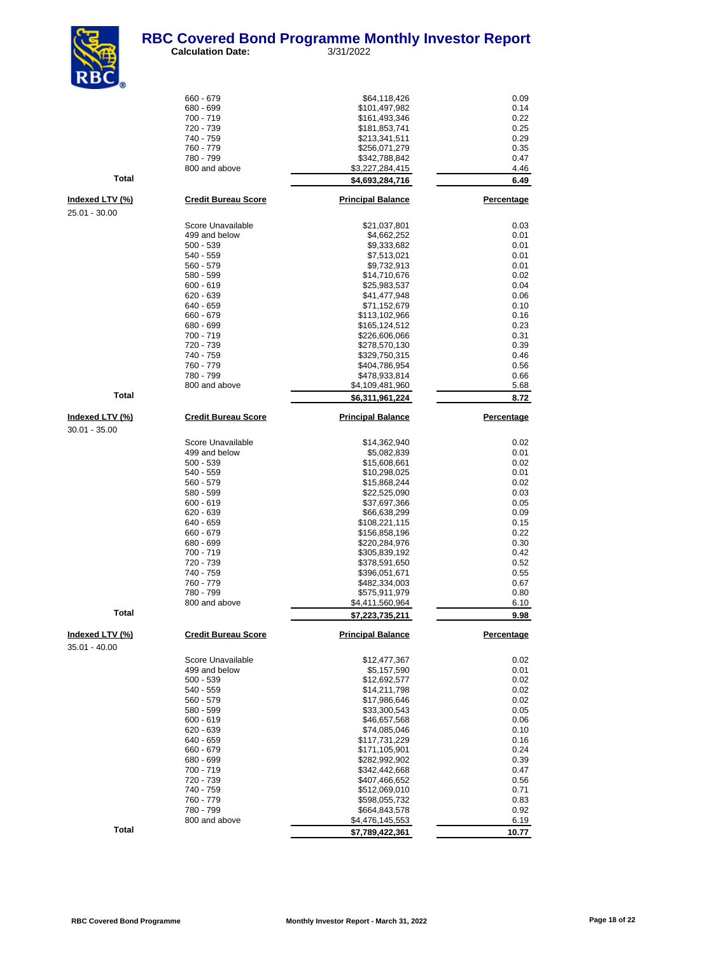

 **Calculation Date:** 3/31/2022

| <b>KDC</b>                              |                            |                                    |                   |
|-----------------------------------------|----------------------------|------------------------------------|-------------------|
|                                         | 660 - 679                  | \$64,118,426                       | 0.09              |
|                                         | 680 - 699                  | \$101,497,982                      | 0.14              |
|                                         | 700 - 719                  | \$161,493,346                      | 0.22              |
|                                         | 720 - 739<br>740 - 759     | \$181,853,741                      | 0.25              |
|                                         | 760 - 779                  | \$213,341,511<br>\$256,071,279     | 0.29<br>0.35      |
|                                         | 780 - 799                  | \$342,788,842                      | 0.47              |
|                                         | 800 and above              | \$3,227,284,415                    | 4.46              |
| <b>Total</b>                            |                            | \$4,693,284,716                    | 6.49              |
| <u>Indexed LTV (%)</u>                  | <b>Credit Bureau Score</b> | <b>Principal Balance</b>           | <b>Percentage</b> |
| 25.01 - 30.00                           |                            |                                    |                   |
|                                         | Score Unavailable          | \$21,037,801                       | 0.03              |
|                                         | 499 and below              | \$4,662,252                        | 0.01              |
|                                         | $500 - 539$                | \$9,333,682                        | 0.01              |
|                                         | 540 - 559                  | \$7,513,021                        | 0.01              |
|                                         | 560 - 579<br>580 - 599     | \$9,732,913<br>\$14,710,676        | 0.01<br>0.02      |
|                                         | $600 - 619$                | \$25,983,537                       | 0.04              |
|                                         | 620 - 639                  | \$41,477,948                       | 0.06              |
|                                         | 640 - 659                  | \$71,152,679                       | 0.10              |
|                                         | 660 - 679                  | \$113,102,966                      | 0.16              |
|                                         | 680 - 699                  | \$165,124,512                      | 0.23              |
|                                         | 700 - 719                  | \$226,606,066                      | 0.31              |
|                                         | 720 - 739<br>740 - 759     | \$278,570,130<br>\$329,750,315     | 0.39<br>0.46      |
|                                         | 760 - 779                  | \$404,786,954                      | 0.56              |
|                                         | 780 - 799                  | \$478,933,814                      | 0.66              |
|                                         | 800 and above              | \$4,109,481,960                    | 5.68              |
| <b>Total</b>                            |                            | \$6,311,961,224                    | 8.72              |
| <u>Indexed LTV (%)</u>                  | <b>Credit Bureau Score</b> | <b>Principal Balance</b>           | <b>Percentage</b> |
| $30.01 - 35.00$                         |                            |                                    |                   |
|                                         | Score Unavailable          | \$14,362,940                       | 0.02              |
|                                         | 499 and below              | \$5,082,839                        | 0.01              |
|                                         | $500 - 539$                | \$15,608,661                       | 0.02              |
|                                         | 540 - 559                  | \$10,298,025                       | 0.01              |
|                                         | 560 - 579                  | \$15,868,244                       | 0.02              |
|                                         | 580 - 599                  | \$22,525,090                       | 0.03              |
|                                         | $600 - 619$                | \$37,697,366                       | 0.05              |
|                                         | 620 - 639<br>640 - 659     | \$66,638,299<br>\$108,221,115      | 0.09<br>0.15      |
|                                         | 660 - 679                  | \$156,858,196                      | 0.22              |
|                                         | 680 - 699                  | \$220,284,976                      | 0.30              |
|                                         | 700 - 719                  | \$305,839,192                      | 0.42              |
|                                         | 720 - 739                  | \$378,591,650                      | 0.52              |
|                                         | 740 - 759                  | \$396,051,671                      | 0.55              |
|                                         | 760 - 779                  | \$482,334,003                      | 0.67              |
|                                         | 780 - 799<br>800 and above | \$575,911,979                      | 0.80              |
| <b>Total</b>                            |                            | \$4,411,560,964<br>\$7,223,735,211 | 6.10<br>9.98      |
|                                         | <b>Credit Bureau Score</b> |                                    |                   |
| <u>Indexed LTV (%)</u><br>35.01 - 40.00 |                            | <b>Principal Balance</b>           | <b>Percentage</b> |
|                                         | Score Unavailable          | \$12,477,367                       | 0.02              |
|                                         | 499 and below              | \$5,157,590                        | 0.01              |
|                                         | $500 - 539$                | \$12,692,577                       | 0.02              |
|                                         | 540 - 559                  | \$14,211,798                       | 0.02              |
|                                         | 560 - 579                  | \$17,986,646                       | 0.02              |
|                                         | 580 - 599                  | \$33,300,543                       | 0.05              |
|                                         | $600 - 619$<br>620 - 639   | \$46,657,568<br>\$74,085,046       | 0.06<br>0.10      |
|                                         | 640 - 659                  | \$117,731,229                      | 0.16              |
|                                         | 660 - 679                  | \$171,105,901                      | 0.24              |
|                                         | 680 - 699                  | \$282,992,902                      | 0.39              |
|                                         | 700 - 719                  | \$342,442,668                      | 0.47              |
|                                         | 720 - 739                  | \$407,466,652                      | 0.56              |
|                                         | 740 - 759                  | \$512,069,010                      | 0.71              |
|                                         | 760 - 779<br>780 - 799     | \$598,055,732<br>\$664,843,578     | 0.83<br>0.92      |
|                                         | 800 and above              | \$4,476,145,553                    | 6.19              |
| Total                                   |                            | \$7,789,422,361                    | 10.77             |
|                                         |                            |                                    |                   |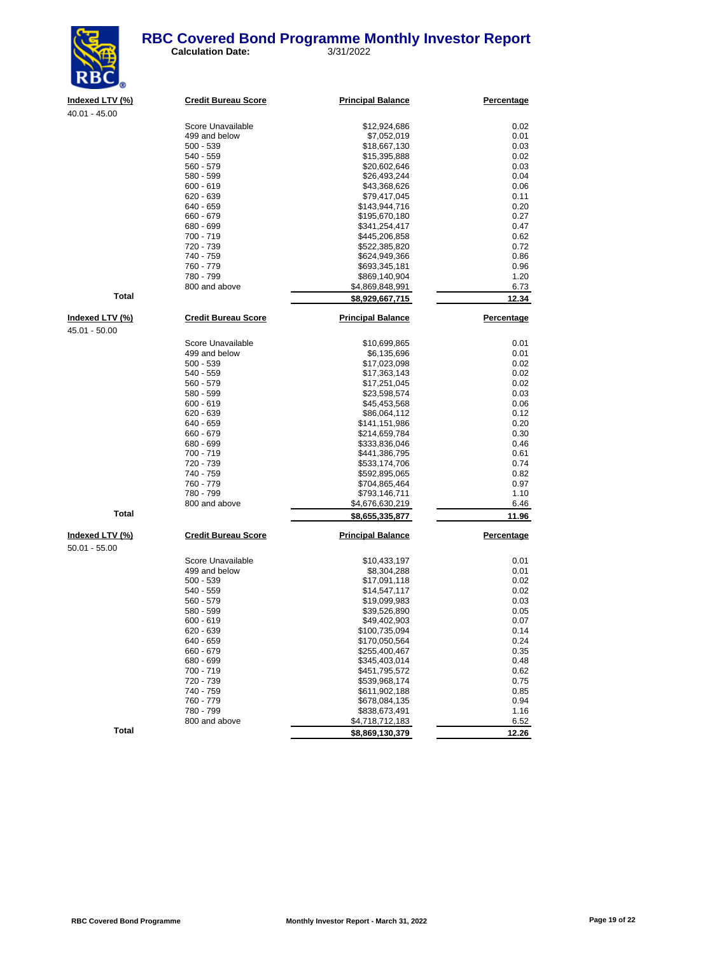

| Indexed LTV (%) | <b>Credit Bureau Score</b> | <b>Principal Balance</b> | Percentage        |
|-----------------|----------------------------|--------------------------|-------------------|
| $40.01 - 45.00$ |                            |                          |                   |
|                 | Score Unavailable          | \$12,924,686             | 0.02              |
|                 | 499 and below              | \$7,052,019              | 0.01              |
|                 | $500 - 539$                | \$18,667,130             | 0.03              |
|                 | 540 - 559                  | \$15,395,888             | 0.02              |
|                 | 560 - 579                  | \$20,602,646             | 0.03              |
|                 | 580 - 599                  | \$26,493,244             | 0.04              |
|                 | $600 - 619$                | \$43,368,626             | 0.06              |
|                 | $620 - 639$                | \$79,417,045             | 0.11              |
|                 | 640 - 659                  | \$143,944,716            | 0.20              |
|                 | 660 - 679                  | \$195,670,180            | 0.27              |
|                 | 680 - 699                  | \$341,254,417            | 0.47              |
|                 | 700 - 719                  | \$445,206,858            | 0.62              |
|                 | 720 - 739                  | \$522,385,820            | 0.72              |
|                 | 740 - 759                  | \$624,949,366            | 0.86              |
|                 | 760 - 779                  | \$693,345,181            | 0.96              |
|                 | 780 - 799                  | \$869,140,904            | 1.20              |
|                 | 800 and above              | \$4,869,848,991          | 6.73              |
| <b>Total</b>    |                            | \$8,929,667,715          | 12.34             |
|                 |                            |                          |                   |
| Indexed LTV (%) | <b>Credit Bureau Score</b> | <b>Principal Balance</b> | Percentage        |
| 45.01 - 50.00   |                            |                          |                   |
|                 | Score Unavailable          | \$10,699,865             | 0.01              |
|                 | 499 and below              | \$6,135,696              | 0.01              |
|                 | $500 - 539$                | \$17,023,098             | 0.02              |
|                 | 540 - 559                  | \$17,363,143             | 0.02              |
|                 | 560 - 579                  | \$17,251,045             | 0.02              |
|                 | 580 - 599                  | \$23,598,574             | 0.03              |
|                 | $600 - 619$                | \$45,453,568             | 0.06              |
|                 | $620 - 639$                | \$86,064,112             | 0.12              |
|                 | 640 - 659                  | \$141,151,986            | 0.20              |
|                 | 660 - 679                  | \$214,659,784            | 0.30              |
|                 | 680 - 699                  | \$333,836,046            | 0.46              |
|                 | 700 - 719                  | \$441,386,795            | 0.61              |
|                 | 720 - 739                  | \$533,174,706            | 0.74              |
|                 | 740 - 759                  | \$592,895,065            | 0.82              |
|                 | 760 - 779                  | \$704,865,464            | 0.97              |
|                 | 780 - 799                  | \$793,146,711            | 1.10              |
|                 | 800 and above              | \$4,676,630,219          | 6.46              |
| <b>Total</b>    |                            | \$8,655,335,877          | 11.96             |
| Indexed LTV (%) | <b>Credit Bureau Score</b> | <b>Principal Balance</b> | <b>Percentage</b> |
| $50.01 - 55.00$ |                            |                          |                   |
|                 | Score Unavailable          | \$10,433,197             | 0.01              |
|                 | 499 and below              | \$8,304,288              | 0.01              |
|                 | $500 - 539$                | \$17,091,118             | 0.02              |
|                 | 540 - 559                  | \$14,547,117             | 0.02              |
|                 | 560 - 579                  | \$19,099,983             | 0.03              |
|                 | 580 - 599                  | \$39,526,890             | 0.05              |
|                 | $600 - 619$                | \$49,402,903             | 0.07              |
|                 | 620 - 639                  | \$100,735,094            | 0.14              |
|                 | 640 - 659                  | \$170,050,564            | 0.24              |
|                 | 660 - 679                  | \$255,400,467            | 0.35              |
|                 | 680 - 699                  | \$345,403,014            | 0.48              |
|                 | 700 - 719                  | \$451,795,572            | 0.62              |
|                 | 720 - 739                  | \$539,968,174            | 0.75              |
|                 | 740 - 759                  | \$611,902,188            | 0.85              |
|                 | 760 - 779                  | \$678,084,135            | 0.94              |
|                 | 780 - 799                  | \$838,673.491            | 1.16              |

**Total 12.26 12.26 12.26 130,379 12.26** 

1.16 799 \$838,673,491 \$838,673,491 1.16<br>800 and above \$4,718,712,183 \$84,718,712,183

\$4,718,712,183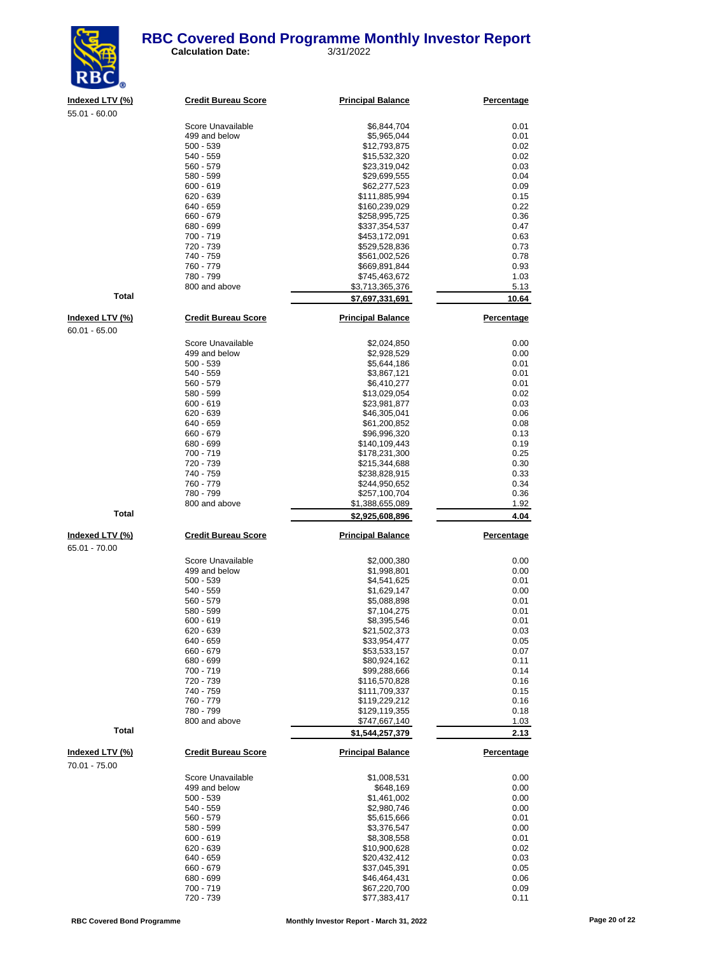

**Indexed LTV (%) Credit Bureau Score Principal Balance Percentage**

| 55.01 - 60.00          |                                    |                                |                    |
|------------------------|------------------------------------|--------------------------------|--------------------|
|                        | Score Unavailable                  | \$6,844,704                    | 0.01               |
|                        | 499 and below                      | \$5,965,044                    | 0.01               |
|                        | $500 - 539$                        | \$12,793,875                   | 0.02               |
|                        | 540 - 559                          | \$15,532,320                   | 0.02               |
|                        | 560 - 579                          | \$23,319,042                   | 0.03               |
|                        | 580 - 599                          | \$29,699,555                   | 0.04               |
|                        | $600 - 619$                        | \$62,277,523                   | 0.09               |
|                        | 620 - 639                          | \$111,885,994                  | 0.15               |
|                        | 640 - 659                          | \$160,239,029                  | 0.22               |
|                        | 660 - 679                          | \$258,995,725                  | 0.36<br>0.47       |
|                        | 680 - 699<br>700 - 719             | \$337,354,537<br>\$453,172,091 | 0.63               |
|                        | 720 - 739                          | \$529,528,836                  | 0.73               |
|                        | 740 - 759                          | \$561,002,526                  | 0.78               |
|                        | 760 - 779                          | \$669,891,844                  | 0.93               |
|                        | 780 - 799                          | \$745,463,672                  | 1.03               |
|                        | 800 and above                      | \$3,713,365,376                | 5.13               |
| <b>Total</b>           |                                    | \$7,697,331,691                | 10.64              |
| <u>Indexed LTV (%)</u> | <b>Credit Bureau Score</b>         | <b>Principal Balance</b>       | Percentage         |
| $60.01 - 65.00$        |                                    |                                |                    |
|                        |                                    |                                |                    |
|                        | Score Unavailable<br>499 and below | \$2,024,850<br>\$2,928,529     | 0.00<br>0.00       |
|                        | $500 - 539$                        | \$5,644,186                    | 0.01               |
|                        | 540 - 559                          | \$3,867,121                    | 0.01               |
|                        | 560 - 579                          | \$6,410,277                    | 0.01               |
|                        | 580 - 599                          | \$13,029,054                   | 0.02               |
|                        | $600 - 619$                        | \$23,981,877                   | 0.03               |
|                        | 620 - 639                          | \$46,305,041                   | 0.06               |
|                        | 640 - 659                          | \$61,200,852                   | 0.08               |
|                        | 660 - 679                          | \$96,996,320                   | 0.13               |
|                        | 680 - 699                          | \$140,109,443                  | 0.19               |
|                        | 700 - 719                          | \$178,231,300                  | 0.25               |
|                        | 720 - 739<br>740 - 759             | \$215,344,688                  | 0.30<br>0.33       |
|                        | 760 - 779                          | \$238,828,915<br>\$244,950,652 | 0.34               |
|                        | 780 - 799                          | \$257,100,704                  | 0.36               |
|                        | 800 and above                      | \$1,388,655,089                | 1.92               |
| <b>Total</b>           |                                    | \$2,925,608,896                | 4.04               |
|                        |                                    |                                |                    |
| Indexed LTV (%)        | <b>Credit Bureau Score</b>         | <b>Principal Balance</b>       | Percentage         |
| 65.01 - 70.00          |                                    |                                |                    |
|                        | Score Unavailable                  | \$2,000,380                    | 0.00               |
|                        | 499 and below                      | \$1,998,801                    | 0.00               |
|                        | $500 - 539$<br>540 - 559           | \$4,541,625<br>\$1,629,147     | 0.01<br>0.00       |
|                        | 560 - 579                          | \$5,088,898                    | 0.01               |
|                        | 580 - 599                          | \$7,104,275                    | 0.01               |
|                        | $600 - 619$                        | \$8,395,546                    | 0.01               |
|                        | 620 - 639                          | \$21,502,373                   | 0.03               |
|                        | 640 - 659                          | \$33,954,477                   | 0.05               |
|                        | 660 - 679                          | \$53,533,157                   | 0.07               |
|                        | 680 - 699                          | \$80,924,162                   | 0.11               |
|                        | 700 - 719                          | \$99,288,666                   | 0.14               |
|                        | 720 - 739                          | \$116,570,828                  | 0.16               |
|                        | 740 - 759<br>760 - 779             | \$111,709,337<br>\$119,229,212 | 0.15<br>0.16       |
|                        |                                    |                                |                    |
|                        |                                    |                                |                    |
|                        | 780 - 799                          | \$129,119,355                  |                    |
| Total                  | 800 and above                      | \$747,667,140                  | 0.18<br>1.03       |
|                        |                                    | \$1,544,257,379                |                    |
| Indexed LTV (%)        | <b>Credit Bureau Score</b>         | <b>Principal Balance</b>       | 2.13<br>Percentage |
| 70.01 - 75.00          |                                    |                                |                    |
|                        | Score Unavailable                  | \$1,008,531                    | 0.00               |
|                        | 499 and below                      | \$648,169                      | 0.00               |
|                        | $500 - 539$                        | \$1,461,002                    | 0.00               |
|                        | 540 - 559                          | \$2,980,746                    | 0.00               |
|                        | 560 - 579                          | \$5,615,666                    | 0.01               |
|                        | 580 - 599                          | \$3,376,547                    | 0.00               |
|                        | $600 - 619$                        | \$8,308,558                    | 0.01               |
|                        | 620 - 639<br>640 - 659             | \$10,900,628<br>\$20,432,412   | 0.02<br>0.03       |

 $$77,383,417$ 

 $660 - 679$   $67,045,391$  0.05<br> $680 - 699$   $346,464,431$  0.06 680 - 699 \$46,464,431 0.06 700 - 719 **567,220,700 67,220,700 67,220,700 6.09**<br>
720 - 739 **577,383,417 67,220,700 6.09**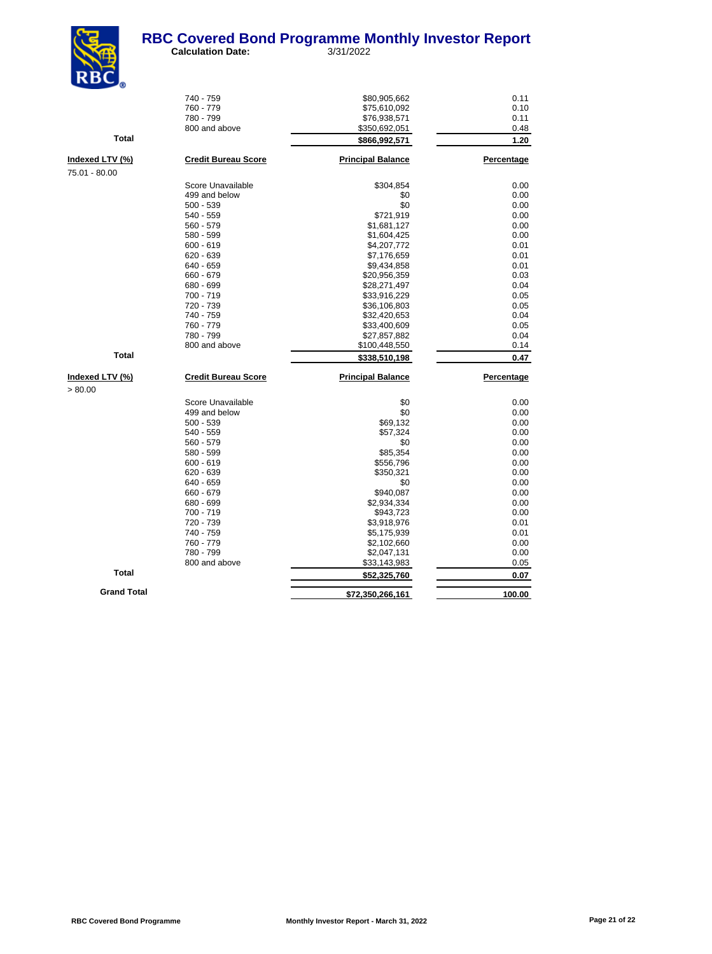

| NDU <sub>0</sub>   |                            |                          |            |
|--------------------|----------------------------|--------------------------|------------|
|                    | 740 - 759                  | \$80,905,662             | 0.11       |
|                    | 760 - 779                  | \$75,610,092             | 0.10       |
|                    | 780 - 799                  | \$76,938,571             | 0.11       |
|                    | 800 and above              | \$350,692,051            | 0.48       |
| Total              |                            | \$866,992,571            | 1.20       |
| Indexed LTV (%)    | <b>Credit Bureau Score</b> | <b>Principal Balance</b> | Percentage |
| 75.01 - 80.00      |                            |                          |            |
|                    | Score Unavailable          | \$304,854                | 0.00       |
|                    | 499 and below              | \$0                      | 0.00       |
|                    | $500 - 539$                | \$0                      | 0.00       |
|                    | 540 - 559                  | \$721,919                | 0.00       |
|                    | $560 - 579$                | \$1,681,127              | 0.00       |
|                    | 580 - 599                  |                          | 0.00       |
|                    | $600 - 619$                | \$1,604,425              | 0.01       |
|                    | $620 - 639$                | \$4,207,772              |            |
|                    |                            | \$7,176,659              | 0.01       |
|                    | 640 - 659                  | \$9,434,858              | 0.01       |
|                    | 660 - 679                  | \$20,956,359             | 0.03       |
|                    | 680 - 699                  | \$28,271,497             | 0.04       |
|                    | 700 - 719                  | \$33,916,229             | 0.05       |
|                    | 720 - 739                  | \$36,106,803             | 0.05       |
|                    | 740 - 759                  | \$32,420,653             | 0.04       |
|                    | 760 - 779                  | \$33,400,609             | 0.05       |
|                    | 780 - 799                  | \$27,857,882             | 0.04       |
|                    | 800 and above              | \$100,448,550            | 0.14       |
| Total              |                            | \$338,510,198            | 0.47       |
| Indexed LTV (%)    | <b>Credit Bureau Score</b> | <b>Principal Balance</b> | Percentage |
| > 80.00            |                            |                          |            |
|                    | Score Unavailable          | \$0                      | 0.00       |
|                    | 499 and below              | \$0                      | 0.00       |
|                    | $500 - 539$                | \$69,132                 | 0.00       |
|                    | 540 - 559                  | \$57,324                 | 0.00       |
|                    | 560 - 579                  | \$0                      | 0.00       |
|                    | 580 - 599                  | \$85,354                 | 0.00       |
|                    | $600 - 619$                | \$556,796                | 0.00       |
|                    | $620 - 639$                | \$350,321                | 0.00       |
|                    | 640 - 659                  | \$0                      | 0.00       |
|                    | 660 - 679                  | \$940.087                | 0.00       |
|                    | 680 - 699                  | \$2,934,334              | 0.00       |
|                    | 700 - 719                  | \$943,723                | 0.00       |
|                    | 720 - 739                  | \$3,918,976              | 0.01       |
|                    | 740 - 759                  | \$5,175,939              | 0.01       |
|                    | 760 - 779                  | \$2,102,660              | 0.00       |
|                    | 780 - 799                  | \$2,047,131              | 0.00       |
|                    | 800 and above              | \$33,143,983             | 0.05       |
| Total              |                            | \$52,325,760             | 0.07       |
| <b>Grand Total</b> |                            |                          |            |
|                    |                            | \$72,350,266,161         | 100.00     |